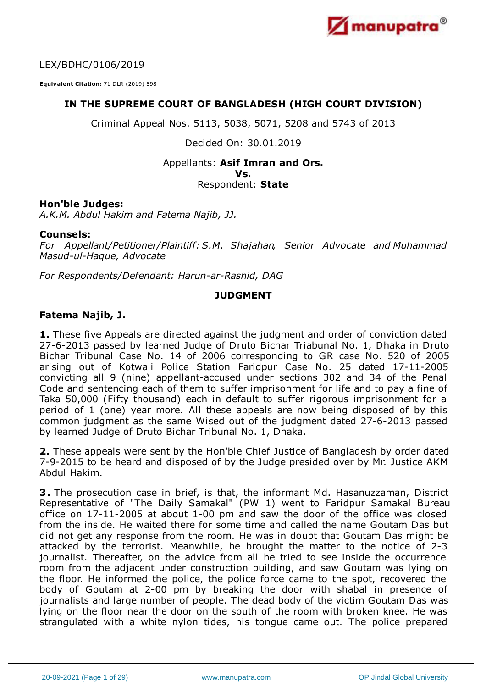

LEX/BDHC/0106/2019

**Equivalent Citation:** 71 DLR (2019) 598

# **IN THE SUPREME COURT OF BANGLADESH (HIGH COURT DIVISION)**

Criminal Appeal Nos. 5113, 5038, 5071, 5208 and 5743 of 2013

Decided On: 30.01.2019

# Appellants: **Asif Imran and Ors.**

**Vs.**

#### Respondent: **State**

### **Hon'ble Judges:**

*A.K.M. Abdul Hakim and Fatema Najib, JJ.*

### **Counsels:**

*For Appellant/Petitioner/Plaintiff: S.M. Shajahan, Senior Advocate and Muhammad Masud-ul-Haque, Advocate*

*For Respondents/Defendant: Harun-ar-Rashid, DAG*

### **JUDGMENT**

### **Fatema Najib, J.**

**1.** These five Appeals are directed against the judgment and order of conviction dated 27-6-2013 passed by learned Judge of Druto Bichar Triabunal No. 1, Dhaka in Druto Bichar Tribunal Case No. 14 of 2006 corresponding to GR case No. 520 of 2005 arising out of Kotwali Police Station Faridpur Case No. 25 dated 17-11-2005 convicting all 9 (nine) appellant-accused under sections 302 and 34 of the Penal Code and sentencing each of them to suffer imprisonment for life and to pay a fine of Taka 50,000 (Fifty thousand) each in default to suffer rigorous imprisonment for a period of 1 (one) year more. All these appeals are now being disposed of by this common judgment as the same Wised out of the judgment dated 27-6-2013 passed by learned Judge of Druto Bichar Tribunal No. 1, Dhaka.

**2.** These appeals were sent by the Hon'ble Chief Justice of Bangladesh by order dated 7-9-2015 to be heard and disposed of by the Judge presided over by Mr. Justice AKM Abdul Hakim.

**3.** The prosecution case in brief, is that, the informant Md. Hasanuzzaman, District Representative of "The Daily Samakal" (PW 1) went to Faridpur Samakal Bureau office on 17-11-2005 at about 1-00 pm and saw the door of the office was closed from the inside. He waited there for some time and called the name Goutam Das but did not get any response from the room. He was in doubt that Goutam Das might be attacked by the terrorist. Meanwhile, he brought the matter to the notice of 2-3 journalist. Thereafter, on the advice from all he tried to see inside the occurrence room from the adjacent under construction building, and saw Goutam was lying on the floor. He informed the police, the police force came to the spot, recovered the body of Goutam at 2-00 pm by breaking the door with shabal in presence of journalists and large number of people. The dead body of the victim Goutam Das was lying on the floor near the door on the south of the room with broken knee. He was strangulated with a white nylon tides, his tongue came out. The police prepared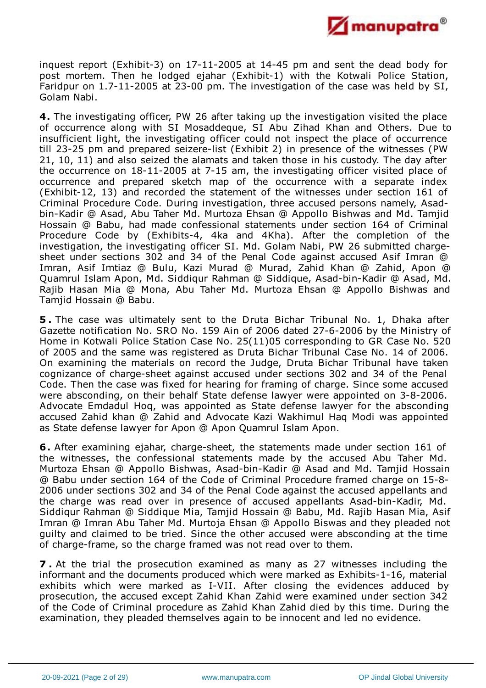

inquest report (Exhibit-3) on 17-11-2005 at 14-45 pm and sent the dead body for post mortem. Then he lodged ejahar (Exhibit-1) with the Kotwali Police Station, Faridpur on 1.7-11-2005 at 23-00 pm. The investigation of the case was held by SI, Golam Nabi.

**4.** The investigating officer, PW 26 after taking up the investigation visited the place of occurrence along with SI Mosaddeque, SI Abu Zihad Khan and Others. Due to insufficient light, the investigating officer could not inspect the place of occurrence till 23-25 pm and prepared seizere-list (Exhibit 2) in presence of the witnesses (PW 21, 10, 11) and also seized the alamats and taken those in his custody. The day after the occurrence on 18-11-2005 at 7-15 am, the investigating officer visited place of occurrence and prepared sketch map of the occurrence with a separate index (Exhibit-12, 13) and recorded the statement of the witnesses under section 161 of Criminal Procedure Code. During investigation, three accused persons namely, Asadbin-Kadir @ Asad, Abu Taher Md. Murtoza Ehsan @ Appollo Bishwas and Md. Tamjid Hossain @ Babu, had made confessional statements under section 164 of Criminal Procedure Code by (Exhibits-4, 4ka and 4Kha). After the completion of the investigation, the investigating officer SI. Md. Golam Nabi, PW 26 submitted chargesheet under sections 302 and 34 of the Penal Code against accused Asif Imran @ Imran, Asif Imtiaz @ Bulu, Kazi Murad @ Murad, Zahid Khan @ Zahid, Apon @ Quamrul Islam Apon, Md. Siddiqur Rahman @ Siddique, Asad-bin-Kadir @ Asad, Md. Rajib Hasan Mia @ Mona, Abu Taher Md. Murtoza Ehsan @ Appollo Bishwas and Tamjid Hossain @ Babu.

**5 .** The case was ultimately sent to the Druta Bichar Tribunal No. 1, Dhaka after Gazette notification No. SRO No. 159 Ain of 2006 dated 27-6-2006 by the Ministry of Home in Kotwali Police Station Case No. 25(11)05 corresponding to GR Case No. 520 of 2005 and the same was registered as Druta Bichar Tribunal Case No. 14 of 2006. On examining the materials on record the Judge, Druta Bichar Tribunal have taken cognizance of charge-sheet against accused under sections 302 and 34 of the Penal Code. Then the case was fixed for hearing for framing of charge. Since some accused were absconding, on their behalf State defense lawyer were appointed on 3-8-2006. Advocate Emdadul Hoq, was appointed as State defense lawyer for the absconding accused Zahid khan @ Zahid and Advocate Kazi Wakhimul Haq Modi was appointed as State defense lawyer for Apon @ Apon Quamrul Islam Apon.

**6.** After examining ejahar, charge-sheet, the statements made under section 161 of the witnesses, the confessional statements made by the accused Abu Taher Md. Murtoza Ehsan @ Appollo Bishwas, Asad-bin-Kadir @ Asad and Md. Tamjid Hossain @ Babu under section 164 of the Code of Criminal Procedure framed charge on 15-8- 2006 under sections 302 and 34 of the Penal Code against the accused appellants and the charge was read over in presence of accused appellants Asad-bin-Kadir, Md. Siddiqur Rahman @ Siddique Mia, Tamjid Hossain @ Babu, Md. Rajib Hasan Mia, Asif Imran @ Imran Abu Taher Md. Murtoja Ehsan @ Appollo Biswas and they pleaded not guilty and claimed to be tried. Since the other accused were absconding at the time of charge-frame, so the charge framed was not read over to them.

**7 .** At the trial the prosecution examined as many as 27 witnesses including the informant and the documents produced which were marked as Exhibits-1-16, material exhibits which were marked as I-VII. After closing the evidences adduced by prosecution, the accused except Zahid Khan Zahid were examined under section 342 of the Code of Criminal procedure as Zahid Khan Zahid died by this time. During the examination, they pleaded themselves again to be innocent and led no evidence.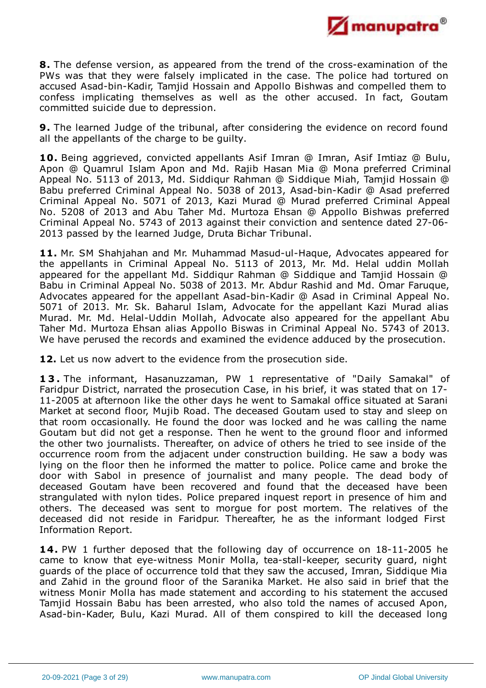

**8.** The defense version, as appeared from the trend of the cross-examination of the PWs was that they were falsely implicated in the case. The police had tortured on accused Asad-bin-Kadir, Tamjid Hossain and Appollo Bishwas and compelled them to confess implicating themselves as well as the other accused. In fact, Goutam committed suicide due to depression.

**9.** The learned Judge of the tribunal, after considering the evidence on record found all the appellants of the charge to be guilty.

**10.** Being aggrieved, convicted appellants Asif Imran @ Imran, Asif Imtiaz @ Bulu, Apon @ Quamrul Islam Apon and Md. Rajib Hasan Mia @ Mona preferred Criminal Appeal No. 5113 of 2013, Md. Siddiqur Rahman @ Siddique Miah, Tamjid Hossain @ Babu preferred Criminal Appeal No. 5038 of 2013, Asad-bin-Kadir @ Asad preferred Criminal Appeal No. 5071 of 2013, Kazi Murad @ Murad preferred Criminal Appeal No. 5208 of 2013 and Abu Taher Md. Murtoza Ehsan @ Appollo Bishwas preferred Criminal Appeal No. 5743 of 2013 against their conviction and sentence dated 27-06- 2013 passed by the learned Judge, Druta Bichar Tribunal.

**11.** Mr. SM Shahjahan and Mr. Muhammad Masud-ul-Haque, Advocates appeared for the appellants in Criminal Appeal No. 5113 of 2013, Mr. Md. Helal uddin Mollah appeared for the appellant Md. Siddiqur Rahman @ Siddique and Tamjid Hossain @ Babu in Criminal Appeal No. 5038 of 2013. Mr. Abdur Rashid and Md. Omar Faruque, Advocates appeared for the appellant Asad-bin-Kadir @ Asad in Criminal Appeal No. 5071 of 2013. Mr. Sk. Baharul Islam, Advocate for the appellant Kazi Murad alias Murad. Mr. Md. Helal-Uddin Mollah, Advocate also appeared for the appellant Abu Taher Md. Murtoza Ehsan alias Appollo Biswas in Criminal Appeal No. <sup>5743</sup> of 2013. We have perused the records and examined the evidence adduced by the prosecution.

**12.** Let us now advert to the evidence from the prosecution side.

**1 3 .** The informant, Hasanuzzaman, PW 1 representative of "Daily Samakal" of Faridpur District, narrated the prosecution Case, in his brief, it was stated that on 17- 11-2005 at afternoon like the other days he went to Samakal office situated at Sarani Market at second floor, Mujib Road. The deceased Goutam used to stay and sleep on that room occasionally. He found the door was locked and he was calling the name Goutam but did not get a response. Then he went to the ground floor and informed the other two journalists. Thereafter, on advice of others he tried to see inside of the occurrence room from the adjacent under construction building. He saw a body was lying on the floor then he informed the matter to police. Police came and broke the door with Sabol in presence of journalist and many people. The dead body of deceased Goutam have been recovered and found that the deceased have been strangulated with nylon tides. Police prepared inquest report in presence of him and others. The deceased was sent to morgue for post mortem. The relatives of the deceased did not reside in Faridpur. Thereafter, he as the informant lodged First Information Report.

**14.** PW 1 further deposed that the following day of occurrence on 18-11-2005 he came to know that eye-witness Monir Molla, tea-stall-keeper, security guard, night guards of the place of occurrence told that they saw the accused, Imran, Siddique Mia and Zahid in the ground floor of the Saranika Market. He also said in brief that the witness Monir Molla has made statement and according to his statement the accused Tamjid Hossain Babu has been arrested, who also told the names of accused Apon, Asad-bin-Kader, Bulu, Kazi Murad. All of them conspired to kill the deceased long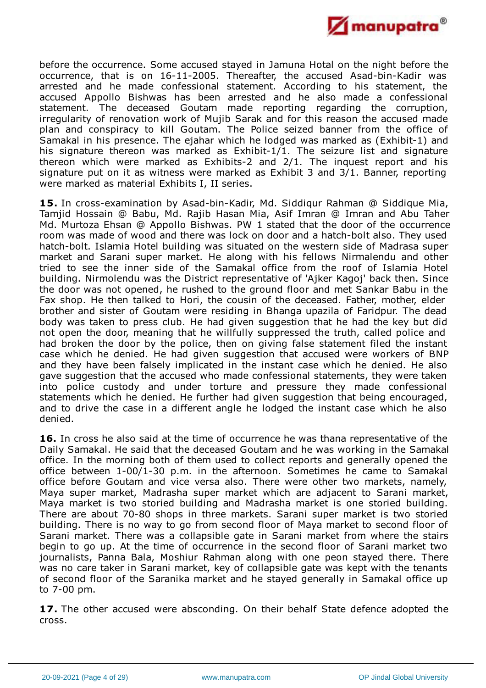

before the occurrence. Some accused stayed in Jamuna Hotal on the night before the occurrence, that is on 16-11-2005. Thereafter, the accused Asad-bin-Kadir was arrested and he made confessional statement. According to his statement, the accused Appollo Bishwas has been arrested and he also made a confessional statement. The deceased Goutam made reporting regarding the corruption, irregularity of renovation work of Mujib Sarak and for this reason the accused made plan and conspiracy to kill Goutam. The Police seized banner from the office of Samakal in his presence. The ejahar which he lodged was marked as (Exhibit-1) and his signature thereon was marked as Exhibit-1/1. The seizure list and signature thereon which were marked as Exhibits-2 and 2/1. The inquest report and his signature put on it as witness were marked as Exhibit 3 and 3/1. Banner, reporting were marked as material Exhibits I, II series.

**15.** In cross-examination by Asad-bin-Kadir, Md. Siddiqur Rahman @ Siddique Mia, Tamjid Hossain @ Babu, Md. Rajib Hasan Mia, Asif Imran @ Imran and Abu Taher Md. Murtoza Ehsan @ Appollo Bishwas. PW 1 stated that the door of the occurrence room was made of wood and there was lock on door and a hatch-bolt also. They used hatch-bolt. Islamia Hotel building was situated on the western side of Madrasa super market and Sarani super market. He along with his fellows Nirmalendu and other tried to see the inner side of the Samakal office from the roof of Islamia Hotel building. Nirmolendu was the District representative of 'Ajker Kagoj' back then. Since the door was not opened, he rushed to the ground floor and met Sankar Babu in the Fax shop. He then talked to Hori, the cousin of the deceased. Father, mother, elder brother and sister of Goutam were residing in Bhanga upazila of Faridpur. The dead body was taken to press club. He had given suggestion that he had the key but did not open the door, meaning that he willfully suppressed the truth, called police and had broken the door by the police, then on giving false statement filed the instant case which he denied. He had given suggestion that accused were workers of BNP and they have been falsely implicated in the instant case which he denied. He also gave suggestion that the accused who made confessional statements, they were taken into police custody and under torture and pressure they made confessional statements which he denied. He further had given suggestion that being encouraged, and to drive the case in a different angle he lodged the instant case which he also denied.

16. In cross he also said at the time of occurrence he was thana representative of the Daily Samakal. He said that the deceased Goutam and he was working in the Samakal office. In the morning both of them used to collect reports and generally opened the office between 1-00/1-30 p.m. in the afternoon. Sometimes he came to Samakal office before Goutam and vice versa also. There were other two markets, namely, Maya super market, Madrasha super market which are adjacent to Sarani market, Maya market is two storied building and Madrasha market is one storied building. There are about 70-80 shops in three markets. Sarani super market is two storied building. There is no way to go from second floor of Maya market to second floor of Sarani market. There was a collapsible gate in Sarani market from where the stairs begin to go up. At the time of occurrence in the second floor of Sarani market two journalists, Panna Bala, Moshiur Rahman along with one peon stayed there. There was no care taker in Sarani market, key of collapsible gate was kept with the tenants of second floor of the Saranika market and he stayed generally in Samakal office up to 7-00 pm.

**17.** The other accused were absconding. On their behalf State defence adopted the cross.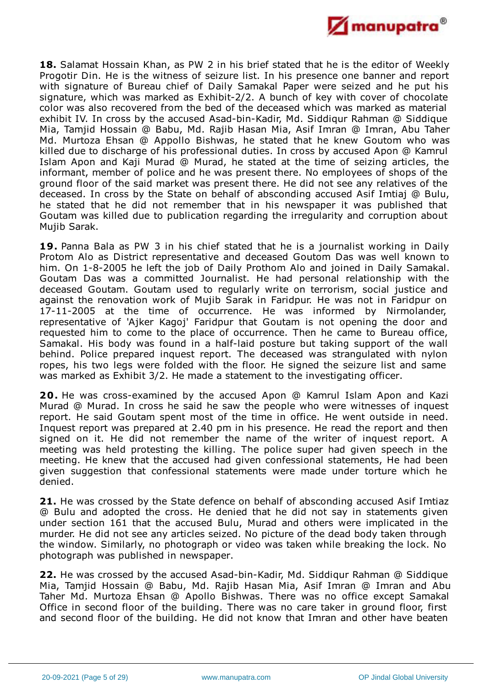

**18.** Salamat Hossain Khan, as PW 2 in his brief stated that he is the editor of Weekly Progotir Din. He is the witness of seizure list. In his presence one banner and report with signature of Bureau chief of Daily Samakal Paper were seized and he put his signature, which was marked as Exhibit-2/2. A bunch of key with cover of chocolate color was also recovered from the bed of the deceased which was marked as material exhibit IV. In cross by the accused Asad-bin-Kadir, Md. Siddiqur Rahman @ Siddique Mia, Tamjid Hossain @ Babu, Md. Rajib Hasan Mia, Asif Imran @ Imran, Abu Taher Md. Murtoza Ehsan @ Appollo Bishwas, he stated that he knew Goutom who was killed due to discharge of his professional duties. In cross by accused Apon @ Kamrul Islam Apon and Kaji Murad @ Murad, he stated at the time of seizing articles, the informant, member of police and he was present there. No employees of shops of the ground floor of the said market was present there. He did not see any relatives of the deceased. In cross by the State on behalf of absconding accused Asif Imtiaj @ Bulu, he stated that he did not remember that in his newspaper it was published that Goutam was killed due to publication regarding the irregularity and corruption about Mujib Sarak.

**19.** Panna Bala as PW 3 in his chief stated that he is a journalist working in Daily Protom Alo as District representative and deceased Goutom Das was well known to him. On 1-8-2005 he left the job of Daily Prothom Alo and joined in Daily Samakal. Goutam Das was a committed Journalist. He had personal relationship with the deceased Goutam. Goutam used to regularly write on terrorism, social justice and against the renovation work of Mujib Sarak in Faridpur. He was not in Faridpur on 17-11-2005 at the time of occurrence. He was informed by Nirmolander, representative of 'Ajker Kagoj' Faridpur that Goutam is not opening the door and requested him to come to the place of occurrence. Then he came to Bureau office, Samakal. His body was found in a half-laid posture but taking support of the wall behind. Police prepared inquest report. The deceased was strangulated with nylon ropes, his two legs were folded with the floor. He signed the seizure list and same was marked as Exhibit 3/2. He made a statement to the investigating officer.

**20.** He was cross-examined by the accused Apon @ Kamrul Islam Apon and Kazi Murad @ Murad. In cross he said he saw the people who were witnesses of inquest report. He said Goutam spent most of the time in office. He went outside in need. Inquest report was prepared at 2.40 pm in his presence. He read the report and then signed on it. He did not remember the name of the writer of inquest report. A meeting was held protesting the killing. The police super had given speech in the meeting. He knew that the accused had given confessional statements, He had been given suggestion that confessional statements were made under torture which he denied.

**21.** He was crossed by the State defence on behalf of absconding accused Asif Imtiaz @ Bulu and adopted the cross. He denied that he did not say in statements given under section 161 that the accused Bulu, Murad and others were implicated in the murder. He did not see any articles seized. No picture of the dead body taken through the window. Similarly, no photograph or video was taken while breaking the lock. No photograph was published in newspaper.

**22.** He was crossed by the accused Asad-bin-Kadir, Md. Siddiqur Rahman @ Siddique Mia, Tamjid Hossain @ Babu, Md. Rajib Hasan Mia, Asif Imran @ Imran and Abu Taher Md. Murtoza Ehsan @ Apollo Bishwas. There was no office except Samakal Office in second floor of the building. There was no care taker in ground floor, first and second floor of the building. He did not know that Imran and other have beaten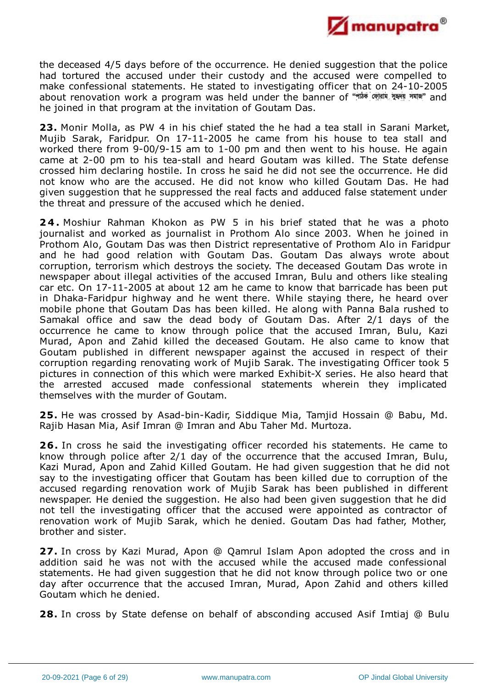

the deceased 4/5 days before of the occurrence. He denied suggestion that the police had tortured the accused under their custody and the accused were compelled to make confessional statements. He stated to investigating officer that on 24-10-2005 about renovation work a program was held under the banner of "nlation and and he joined in that program at the invitation of Goutam Das.

**23.** Monir Molla, as PW 4 in his chief stated the he had a tea stall in Sarani Market, Mujib Sarak, Faridpur. On 17-11-2005 he came from his house to tea stall and worked there from 9-00/9-15 am to 1-00 pm and then went to his house. He again came at 2-00 pm to his tea-stall and heard Goutam was killed. The State defense crossed him declaring hostile. In cross he said he did not see the occurrence. He did not know who are the accused. He did not know who killed Goutam Das. He had given suggestion that he suppressed the real facts and adduced false statement under the threat and pressure of the accused which he denied.

**2 4 .** Moshiur Rahman Khokon as PW 5 in his brief stated that he was a photo journalist and worked as journalist in Prothom Alo since 2003. When he joined in Prothom Alo, Goutam Das was then District representative of Prothom Alo in Faridpur and he had good relation with Goutam Das. Goutam Das always wrote about corruption, terrorism which destroys the society. The deceased Goutam Das wrote in newspaper about illegal activities of the accused Imran, Bulu and others like stealing car etc. On 17-11-2005 at about 12 am he came to know that barricade has been put in Dhaka-Faridpur highway and he went there. While staying there, he heard over mobile phone that Goutam Das has been killed. He along with Panna Bala rushed to Samakal office and saw the dead body of Goutam Das. After 2/1 days of the occurrence he came to know through police that the accused Imran, Bulu, Kazi Murad, Apon and Zahid killed the deceased Goutam. He also came to know that Goutam published in different newspaper against the accused in respect of their corruption regarding renovating work of Mujib Sarak. The investigating Officer took 5 pictures in connection of this which were marked Exhibit-X series. He also heard that the arrested accused made confessional statements wherein they implicated themselves with the murder of Goutam.

**25.** He was crossed by Asad-bin-Kadir, Siddique Mia, Tamjid Hossain @ Babu, Md. Rajib Hasan Mia, Asif Imran @ Imran and Abu Taher Md. Murtoza.

**26.** In cross he said the investigating officer recorded his statements. He came to know through police after 2/1 day of the occurrence that the accused Imran, Bulu, Kazi Murad, Apon and Zahid Killed Goutam. He had given suggestion that he did not say to the investigating officer that Goutam has been killed due to corruption of the accused regarding renovation work of Mujib Sarak has been published in different newspaper. He denied the suggestion. He also had been given suggestion that he did not tell the investigating officer that the accused were appointed as contractor of renovation work of Mujib Sarak, which he denied. Goutam Das had father, Mother, brother and sister.

**27.** In cross by Kazi Murad, Apon @ Qamrul Islam Apon adopted the cross and in addition said he was not with the accused while the accused made confessional statements. He had given suggestion that he did not know through police two or one day after occurrence that the accused Imran, Murad, Apon Zahid and others killed Goutam which he denied.

**28.** In cross by State defense on behalf of absconding accused Asif Imtiaj @ Bulu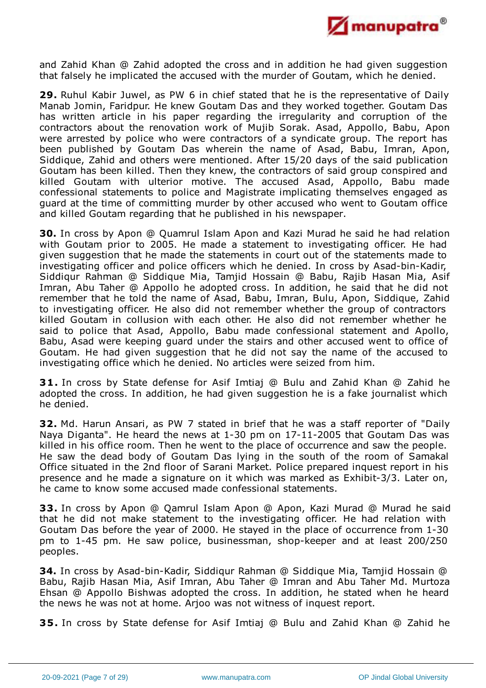

and Zahid Khan @ Zahid adopted the cross and in addition he had given suggestion that falsely he implicated the accused with the murder of Goutam, which he denied.

**29.** Ruhul Kabir Juwel, as PW 6 in chief stated that he is the representative of Daily Manab Jomin, Faridpur. He knew Goutam Das and they worked together. Goutam Das has written article in his paper regarding the irregularity and corruption of the contractors about the renovation work of Mujib Sorak. Asad, Appollo, Babu, Apon were arrested by police who were contractors of a syndicate group. The report has been published by Goutam Das wherein the name of Asad, Babu, Imran, Apon, Siddique, Zahid and others were mentioned. After 15/20 days of the said publication Goutam has been killed. Then they knew, the contractors of said group conspired and killed Goutam with ulterior motive. The accused Asad, Appollo, Babu made confessional statements to police and Magistrate implicating themselves engaged as guard at the time of committing murder by other accused who went to Goutam office and killed Goutam regarding that he published in his newspaper.

**30.** In cross by Apon @ Quamrul Islam Apon and Kazi Murad he said he had relation with Goutam prior to 2005. He made a statement to investigating officer. He had given suggestion that he made the statements in court out of the statements made to investigating officer and police officers which he denied. In cross by Asad-bin-Kadir, Siddiqur Rahman @ Siddique Mia, Tamjid Hossain @ Babu, Rajib Hasan Mia, Asif Imran, Abu Taher @ Appollo he adopted cross. In addition, he said that he did not remember that he told the name of Asad, Babu, Imran, Bulu, Apon, Siddique, Zahid to investigating officer. He also did not remember whether the group of contractors killed Goutam in collusion with each other. He also did not remember whether he said to police that Asad, Appollo, Babu made confessional statement and Apollo, Babu, Asad were keeping guard under the stairs and other accused went to office of Goutam. He had given suggestion that he did not say the name of the accused to investigating office which he denied. No articles were seized from him.

**31.** In cross by State defense for Asif Imtiaj @ Bulu and Zahid Khan @ Zahid he adopted the cross. In addition, he had given suggestion he is a fake journalist which he denied.

**32.** Md. Harun Ansari, as PW 7 stated in brief that he was a staff reporter of "Daily Naya Diganta". He heard the news at 1-30 pm on 17-11-2005 that Goutam Das was killed in his office room. Then he went to the place of occurrence and saw the people. He saw the dead body of Goutam Das lying in the south of the room of Samakal Office situated in the 2nd floor of Sarani Market. Police prepared inquest report in his presence and he made a signature on it which was marked as Exhibit-3/3. Later on, he came to know some accused made confessional statements.

**33.** In cross by Apon @ Qamrul Islam Apon @ Apon, Kazi Murad @ Murad he said that he did not make statement to the investigating officer. He had relation with Goutam Das before the year of 2000. He stayed in the place of occurrence from 1-30 pm to 1-45 pm. He saw police, businessman, shop-keeper and at least 200/250 peoples.

**34.** In cross by Asad-bin-Kadir, Siddiqur Rahman @ Siddique Mia, Tamjid Hossain @ Babu, Rajib Hasan Mia, Asif Imran, Abu Taher @ Imran and Abu Taher Md. Murtoza Ehsan @ Appollo Bishwas adopted the cross. In addition, he stated when he heard the news he was not at home. Arjoo was not witness of inquest report.

**35.** In cross by State defense for Asif Imtiaj @ Bulu and Zahid Khan @ Zahid he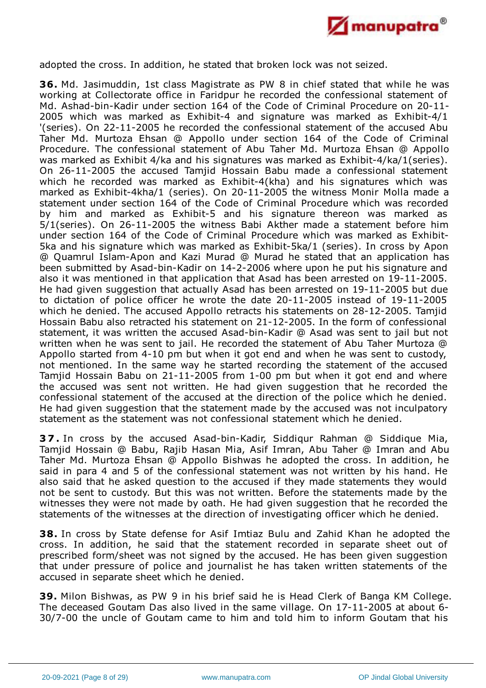

adopted the cross. In addition, he stated that broken lock was not seized.

**36.** Md. Jasimuddin, 1st class Magistrate as PW 8 in chief stated that while he was working at Collectorate office in Faridpur he recorded the confessional statement of Md. Ashad-bin-Kadir under section 164 of the Code of Criminal Procedure on 20-11- 2005 which was marked as Exhibit-4 and signature was marked as Exhibit-4/1 '(series). On 22-11-2005 he recorded the confessional statement of the accused Abu Taher Md. Murtoza Ehsan @ Appollo under section 164 of the Code of Criminal Procedure. The confessional statement of Abu Taher Md. Murtoza Ehsan @ Appollo was marked as Exhibit 4/ka and his signatures was marked as Exhibit-4/ka/1(series). On 26-11-2005 the accused Tamjid Hossain Babu made a confessional statement which he recorded was marked as Exhibit-4(kha) and his signatures which was marked as Exhibit-4kha/1 (series). On 20-11-2005 the witness Monir Molla made a statement under section 164 of the Code of Criminal Procedure which was recorded by him and marked as Exhibit-5 and his signature thereon was marked as 5/1(series). On 26-11-2005 the witness Babi Akther made a statement before him under section 164 of the Code of Criminal Procedure which was marked as Exhibit-5ka and his signature which was marked as Exhibit-5ka/1 (series). In cross by Apon @ Quamrul Islam-Apon and Kazi Murad @ Murad he stated that an application has been submitted by Asad-bin-Kadir on 14-2-2006 where upon he put his signature and also it was mentioned in that application that Asad has been arrested on 19-11-2005. He had given suggestion that actually Asad has been arrested on 19-11-2005 but due to dictation of police officer he wrote the date 20-11-2005 instead of 19-11-2005 which he denied. The accused Appollo retracts his statements on 28-12-2005. Tamjid Hossain Babu also retracted his statement on 21-12-2005. In the form of confessional statement, it was written the accused Asad-bin-Kadir @ Asad was sent to jail but not written when he was sent to jail. He recorded the statement of Abu Taher Murtoza @ Appollo started from 4-10 pm but when it got end and when he was sent to custody, not mentioned. In the same way he started recording the statement of the accused Tamjid Hossain Babu on 21-11-2005 from 1-00 pm but when it got end and where the accused was sent not written. He had given suggestion that he recorded the confessional statement of the accused at the direction of the police which he denied. He had given suggestion that the statement made by the accused was not inculpatory statement as the statement was not confessional statement which he denied.

**3 7 .** In cross by the accused Asad-bin-Kadir, Siddiqur Rahman @ Siddique Mia, Tamjid Hossain @ Babu, Rajib Hasan Mia, Asif Imran, Abu Taher @ Imran and Abu Taher Md. Murtoza Ehsan @ Appollo Bishwas he adopted the cross. In addition, he said in para 4 and 5 of the confessional statement was not written by his hand. He also said that he asked question to the accused if they made statements they would not be sent to custody. But this was not written. Before the statements made by the witnesses they were not made by oath. He had given suggestion that he recorded the statements of the witnesses at the direction of investigating officer which he denied.

**38.** In cross by State defense for Asif Imtiaz Bulu and Zahid Khan he adopted the cross. In addition, he said that the statement recorded in separate sheet out of prescribed form/sheet was not signed by the accused. He has been given suggestion that under pressure of police and journalist he has taken written statements of the accused in separate sheet which he denied.

**39.** Milon Bishwas, as PW 9 in his brief said he is Head Clerk of Banga KM College. The deceased Goutam Das also lived in the same village. On 17-11-2005 at about 6- 30/7-00 the uncle of Goutam came to him and told him to inform Goutam that his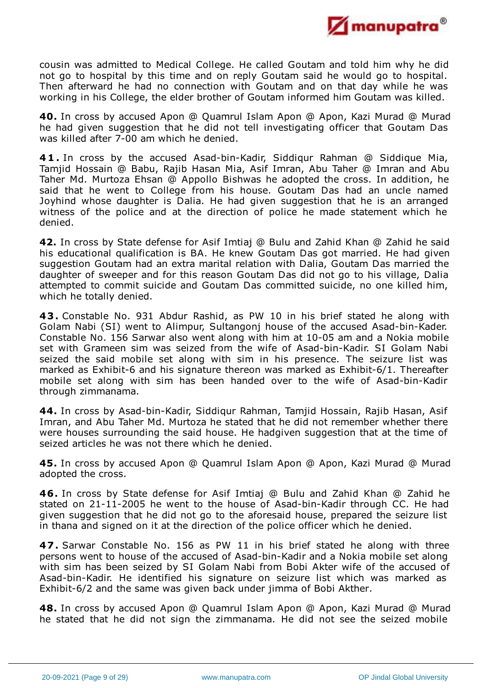

cousin was admitted to Medical College. He called Goutam and told him why he did not go to hospital by this time and on reply Goutam said he would go to hospital. Then afterward he had no connection with Goutam and on that day while he was working in his College, the elder brother of Goutam informed him Goutam was killed.

**40.** In cross by accused Apon @ Quamrul Islam Apon @ Apon, Kazi Murad @ Murad he had given suggestion that he did not tell investigating officer that Goutam Das was killed after 7-00 am which he denied.

**4 1 .** In cross by the accused Asad-bin-Kadir, Siddiqur Rahman @ Siddique Mia, Tamjid Hossain @ Babu, Rajib Hasan Mia, Asif Imran, Abu Taher @ Imran and Abu Taher Md. Murtoza Ehsan @ Appollo Bishwas he adopted the cross. In addition, he said that he went to College from his house. Goutam Das had an uncle named Joyhind whose daughter is Dalia. He had given suggestion that he is an arranged witness of the police and at the direction of police he made statement which he denied.

**42.** In cross by State defense for Asif Imtiaj @ Bulu and Zahid Khan @ Zahid he said his educational qualification is BA. He knew Goutam Das got married. He had given suggestion Goutam had an extra marital relation with Dalia, Goutam Das married the daughter of sweeper and for this reason Goutam Das did not go to his village, Dalia attempted to commit suicide and Goutam Das committed suicide, no one killed him, which he totally denied.

**43.** Constable No. 931 Abdur Rashid, as PW 10 in his brief stated he along with Golam Nabi (SI) went to Alimpur, Sultangonj house of the accused Asad-bin-Kader. Constable No. 156 Sarwar also went along with him at 10-05 am and a Nokia mobile set with Grameen sim was seized from the wife of Asad-bin-Kadir. SI Golam Nabi seized the said mobile set along with sim in his presence. The seizure list was marked as Exhibit-6 and his signature thereon was marked as Exhibit-6/1. Thereafter mobile set along with sim has been handed over to the wife of Asad-bin-Kadir through zimmanama.

**44.** In cross by Asad-bin-Kadir, Siddiqur Rahman, Tamjid Hossain, Rajib Hasan, Asif Imran, and Abu Taher Md. Murtoza he stated that he did not remember whether there were houses surrounding the said house. He hadgiven suggestion that at the time of seized articles he was not there which he denied.

**45.** In cross by accused Apon @ Quamrul Islam Apon @ Apon, Kazi Murad @ Murad adopted the cross.

**46.** In cross by State defense for Asif Imtiaj @ Bulu and Zahid Khan @ Zahid he stated on 21-11-2005 he went to the house of Asad-bin-Kadir through CC. He had given suggestion that he did not go to the aforesaid house, prepared the seizure list in thana and signed on it at the direction of the police officer which he denied.

**47.** Sarwar Constable No. 156 as PW 11 in his brief stated he along with three persons went to house of the accused of Asad-bin-Kadir and a Nokia mobile set along with sim has been seized by SI Golam Nabi from Bobi Akter wife of the accused of Asad-bin-Kadir. He identified his signature on seizure list which was marked as Exhibit-6/2 and the same was given back under jimma of Bobi Akther.

**48.** In cross by accused Apon @ Quamrul Islam Apon @ Apon, Kazi Murad @ Murad he stated that he did not sign the zimmanama. He did not see the seized mobile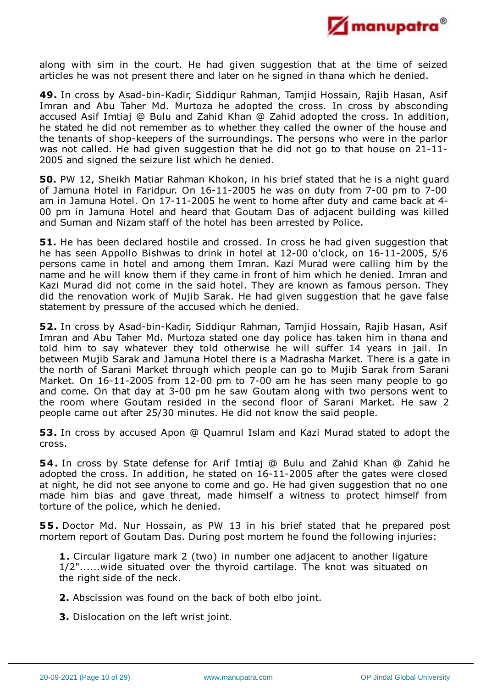

along with sim in the court. He had given suggestion that at the time of seized articles he was not present there and later on he signed in thana which he denied.

**49.** In cross by Asad-bin-Kadir, Siddiqur Rahman, Tamjid Hossain, Rajib Hasan, Asif Imran and Abu Taher Md. Murtoza he adopted the cross. In cross by absconding accused Asif Imtiaj @ Bulu and Zahid Khan @ Zahid adopted the cross. In addition, he stated he did not remember as to whether they called the owner of the house and the tenants of shop-keepers of the surroundings. The persons who were in the parlor was not called. He had given suggestion that he did not go to that house on 21-11- 2005 and signed the seizure list which he denied.

**50.** PW 12, Sheikh Matiar Rahman Khokon, in his brief stated that he is a night guard of Jamuna Hotel in Faridpur. On 16-11-2005 he was on duty from 7-00 pm to 7-00 am in Jamuna Hotel. On 17-11-2005 he went to home after duty and came back at 4- 00 pm in Jamuna Hotel and heard that Goutam Das of adjacent building was killed and Suman and Nizam staff of the hotel has been arrested by Police.

**51.** He has been declared hostile and crossed. In cross he had given suggestion that he has seen Appollo Bishwas to drink in hotel at 12-00 o'clock, on 16-11-2005, 5/6 persons came in hotel and among them Imran. Kazi Murad were calling him by the name and he will know them if they came in front of him which he denied. Imran and Kazi Murad did not come in the said hotel. They are known as famous person. They did the renovation work of Mujib Sarak. He had given suggestion that he gave false statement by pressure of the accused which he denied.

**52.** In cross by Asad-bin-Kadir, Siddiqur Rahman, Tamjid Hossain, Rajib Hasan, Asif Imran and Abu Taher Md. Murtoza stated one day police has taken him in thana and told him to say whatever they told otherwise he will suffer 14 years in jail. In between Mujib Sarak and Jamuna Hotel there is a Madrasha Market. There is a gate in the north of Sarani Market through which people can go to Mujib Sarak from Sarani Market. On 16-11-2005 from 12-00 pm to 7-00 am he has seen many people to go and come. On that day at 3-00 pm he saw Goutam along with two persons went to the room where Goutam resided in the second floor of Sarani Market. He saw 2 people came out after 25/30 minutes. He did not know the said people.

**53.** In cross by accused Apon @ Quamrul Islam and Kazi Murad stated to adopt the cross.

**54.** In cross by State defense for Arif Imtiaj @ Bulu and Zahid Khan @ Zahid he adopted the cross. In addition, he stated on 16-11-2005 after the gates were closed at night, he did not see anyone to come and go. He had given suggestion that no one made him bias and gave threat, made himself a witness to protect himself from torture of the police, which he denied.

**55.** Doctor Md. Nur Hossain, as PW 13 in his brief stated that he prepared post mortem report of Goutam Das. During post mortem he found the following injuries:

**1.** Circular ligature mark 2 (two) in number one adjacent to another ligature 1/2"......wide situated over the thyroid cartilage. The knot was situated on the right side of the neck.

- **2.** Abscission was found on the back of both elbo joint.
- **3.** Dislocation on the left wrist joint.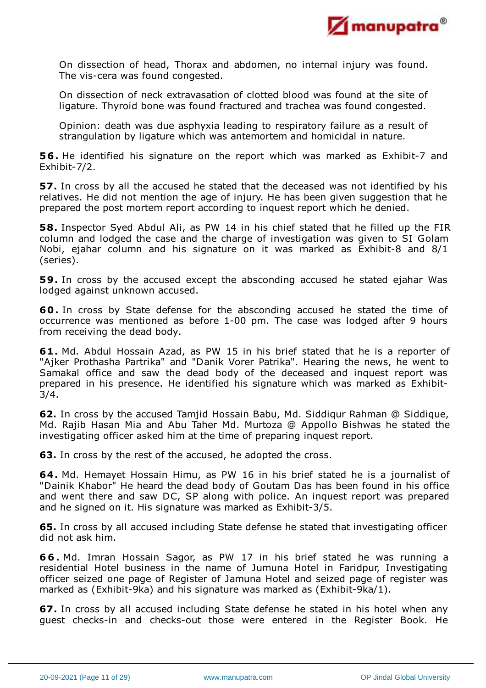

On dissection of head, Thorax and abdomen, no internal injury was found. The vis-cera was found congested.

On dissection of neck extravasation of clotted blood was found at the site of ligature. Thyroid bone was found fractured and trachea was found congested.

Opinion: death was due asphyxia leading to respiratory failure as a result of strangulation by ligature which was antemortem and homicidal in nature.

**56.** He identified his signature on the report which was marked as Exhibit-7 and Exhibit-7/2.

**57.** In cross by all the accused he stated that the deceased was not identified by his relatives. He did not mention the age of injury. He has been given suggestion that he prepared the post mortem report according to inquest report which he denied.

**58.** Inspector Syed Abdul Ali, as PW 14 in his chief stated that he filled up the FIR column and lodged the case and the charge of investigation was given to SI Golam Nobi, ejahar column and his signature on it was marked as Exhibit-8 and 8/1 (series).

**59.** In cross by the accused except the absconding accused he stated ejahar Was lodged against unknown accused.

**60.** In cross by State defense for the absconding accused he stated the time of occurrence was mentioned as before 1-00 pm. The case was lodged after 9 hours from receiving the dead body.

**61.** Md. Abdul Hossain Azad, as PW 15 in his brief stated that he is a reporter of "Ajker Prothasha Partrika" and "Danik Vorer Patrika". Hearing the news, he went to Samakal office and saw the dead body of the deceased and inquest report was prepared in his presence. He identified his signature which was marked as Exhibit-3/4.

**62.** In cross by the accused Tamjid Hossain Babu, Md. Siddiqur Rahman @ Siddique, Md. Rajib Hasan Mia and Abu Taher Md. Murtoza @ Appollo Bishwas he stated the investigating officer asked him at the time of preparing inquest report.

**63.** In cross by the rest of the accused, he adopted the cross.

**64.** Md. Hemayet Hossain Himu, as PW 16 in his brief stated he is a journalist of "Dainik Khabor" He heard the dead body of Goutam Das has been found in his office and went there and saw DC, SP along with police. An inquest report was prepared and he signed on it. His signature was marked as Exhibit-3/5.

**65.** In cross by all accused including State defense he stated that investigating officer did not ask him.

**6 6 .** Md. Imran Hossain Sagor, as PW 17 in his brief stated he was running a residential Hotel business in the name of Jumuna Hotel in Faridpur, Investigating officer seized one page of Register of Jamuna Hotel and seized page of register was marked as (Exhibit-9ka) and his signature was marked as (Exhibit-9ka/1).

**67.** In cross by all accused including State defense he stated in his hotel when any guest checks-in and checks-out those were entered in the Register Book. He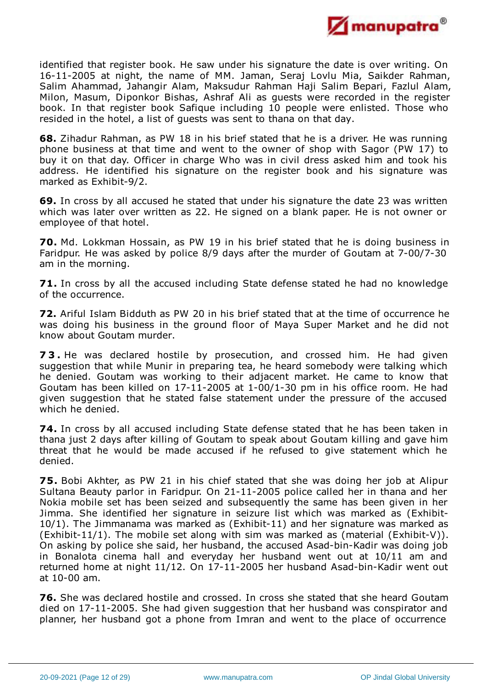

identified that register book. He saw under his signature the date is over writing. On 16-11-2005 at night, the name of MM. Jaman, Seraj Lovlu Mia, Saikder Rahman, Salim Ahammad, Jahangir Alam, Maksudur Rahman Haji Salim Bepari, Fazlul Alam, Milon, Masum, Diponkor Bishas, Ashraf Ali as guests were recorded in the register book. In that register book Safique including 10 people were enlisted. Those who resided in the hotel, a list of guests was sent to thana on that day.

**68.** Zihadur Rahman, as PW 18 in his brief stated that he is a driver. He was running phone business at that time and went to the owner of shop with Sagor (PW 17) to buy it on that day. Officer in charge Who was in civil dress asked him and took his address. He identified his signature on the register book and his signature was marked as Exhibit-9/2.

**69.** In cross by all accused he stated that under his signature the date 23 was written which was later over written as 22. He signed on a blank paper. He is not owner or employee of that hotel.

**70.** Md. Lokkman Hossain, as PW 19 in his brief stated that he is doing business in Faridpur. He was asked by police 8/9 days after the murder of Goutam at 7-00/7-30 am in the morning.

**71.** In cross by all the accused including State defense stated he had no knowledge of the occurrence.

**72.** Ariful Islam Bidduth as PW 20 in his brief stated that at the time of occurrence he was doing his business in the ground floor of Maya Super Market and he did not know about Goutam murder.

**7 3 .** He was declared hostile by prosecution, and crossed him. He had given suggestion that while Munir in preparing tea, he heard somebody were talking which he denied. Goutam was working to their adjacent market. He came to know that Goutam has been killed on 17-11-2005 at 1-00/1-30 pm in his office room. He had given suggestion that he stated false statement under the pressure of the accused which he denied.

**74.** In cross by all accused including State defense stated that he has been taken in thana just 2 days after killing of Goutam to speak about Goutam killing and gave him threat that he would be made accused if he refused to give statement which he denied.

**75.** Bobi Akhter, as PW 21 in his chief stated that she was doing her job at Alipur Sultana Beauty parlor in Faridpur. On 21-11-2005 police called her in thana and her Nokia mobile set has been seized and subsequently the same has been given in her Jimma. She identified her signature in seizure list which was marked as (Exhibit-10/1). The Jimmanama was marked as (Exhibit-11) and her signature was marked as (Exhibit-11/1). The mobile set along with sim was marked as (material (Exhibit-V)). On asking by police she said, her husband, the accused Asad-bin-Kadir was doing job in Bonalota cinema hall and everyday her husband went out at 10/11 am and returned home at night 11/12. On 17-11-2005 her husband Asad-bin-Kadir went out at 10-00 am.

**76.** She was declared hostile and crossed. In cross she stated that she heard Goutam died on 17-11-2005. She had given suggestion that her husband was conspirator and planner, her husband got a phone from Imran and went to the place of occurrence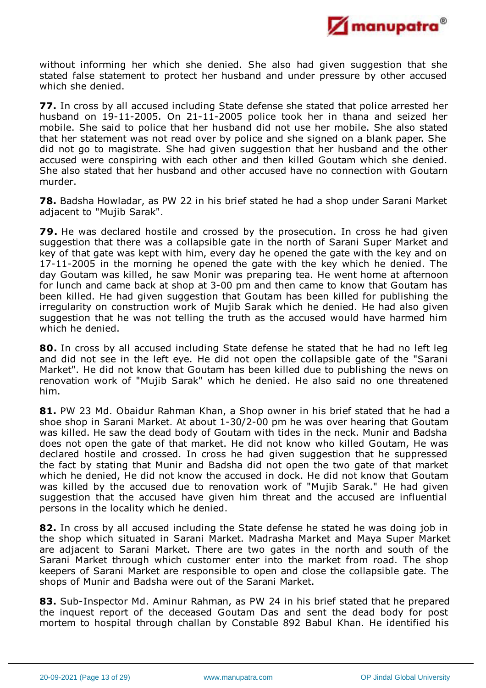

without informing her which she denied. She also had given suggestion that she stated false statement to protect her husband and under pressure by other accused which she denied.

**77.** In cross by all accused including State defense she stated that police arrested her husband on 19-11-2005. On 21-11-2005 police took her in thana and seized her mobile. She said to police that her husband did not use her mobile. She also stated that her statement was not read over by police and she signed on a blank paper. She did not go to magistrate. She had given suggestion that her husband and the other accused were conspiring with each other and then killed Goutam which she denied. She also stated that her husband and other accused have no connection with Goutarn murder.

**78.** Badsha Howladar, as PW 22 in his brief stated he had a shop under Sarani Market adjacent to "Mujib Sarak".

**79.** He was declared hostile and crossed by the prosecution. In cross he had given suggestion that there was a collapsible gate in the north of Sarani Super Market and key of that gate was kept with him, every day he opened the gate with the key and on 17-11-2005 in the morning he opened the gate with the key which he denied. The day Goutam was killed, he saw Monir was preparing tea. He went home at afternoon for lunch and came back at shop at 3-00 pm and then came to know that Goutam has been killed. He had given suggestion that Goutam has been killed for publishing the irregularity on construction work of Mujib Sarak which he denied. He had also given suggestion that he was not telling the truth as the accused would have harmed him which he denied.

**80.** In cross by all accused including State defense he stated that he had no left leg and did not see in the left eye. He did not open the collapsible gate of the "Sarani Market". He did not know that Goutam has been killed due to publishing the news on renovation work of "Mujib Sarak" which he denied. He also said no one threatened him.

**81.** PW 23 Md. Obaidur Rahman Khan, a Shop owner in his brief stated that he had a shoe shop in Sarani Market. At about 1-30/2-00 pm he was over hearing that Goutam was killed. He saw the dead body of Goutam with tides in the neck. Munir and Badsha does not open the gate of that market. He did not know who killed Goutam, He was declared hostile and crossed. In cross he had given suggestion that he suppressed the fact by stating that Munir and Badsha did not open the two gate of that market which he denied, He did not know the accused in dock. He did not know that Goutam was killed by the accused due to renovation work of "Mujib Sarak." He had given suggestion that the accused have given him threat and the accused are influential persons in the locality which he denied.

**82.** In cross by all accused including the State defense he stated he was doing job in the shop which situated in Sarani Market. Madrasha Market and Maya Super Market are adjacent to Sarani Market. There are two gates in the north and south of the Sarani Market through which customer enter into the market from road. The shop keepers of Sarani Market are responsible to open and close the collapsible gate. The shops of Munir and Badsha were out of the Sarani Market.

**83.** Sub-Inspector Md. Aminur Rahman, as PW 24 in his brief stated that he prepared the inquest report of the deceased Goutam Das and sent the dead body for post mortem to hospital through challan by Constable 892 Babul Khan. He identified his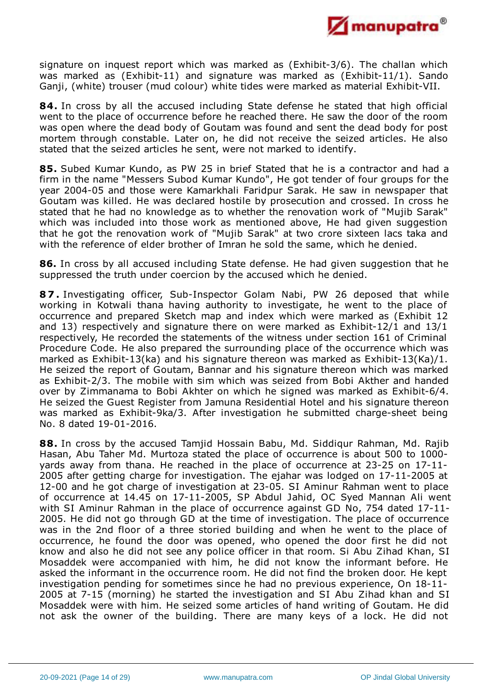

signature on inquest report which was marked as (Exhibit-3/6). The challan which was marked as (Exhibit-11) and signature was marked as (Exhibit-11/1). Sando Ganji, (white) trouser (mud colour) white tides were marked as material Exhibit-VII.

**84.** In cross by all the accused including State defense he stated that high official went to the place of occurrence before he reached there. He saw the door of the room was open where the dead body of Goutam was found and sent the dead body for post mortem through constable. Later on, he did not receive the seized articles. He also stated that the seized articles he sent, were not marked to identify.

**85.** Subed Kumar Kundo, as PW 25 in brief Stated that he is a contractor and had a firm in the name "Messers Subod Kumar Kundo", He got tender of four groups for the year 2004-05 and those were Kamarkhali Faridpur Sarak. He saw in newspaper that Goutam was killed. He was declared hostile by prosecution and crossed. In cross he stated that he had no knowledge as to whether the renovation work of "Mujib Sarak" which was included into those work as mentioned above, He had given suggestion that he got the renovation work of "Mujib Sarak" at two crore sixteen lacs taka and with the reference of elder brother of Imran he sold the same, which he denied.

**86.** In cross by all accused including State defense. He had given suggestion that he suppressed the truth under coercion by the accused which he denied.

**8 7 .** Investigating officer, Sub-Inspector Golam Nabi, PW 26 deposed that while working in Kotwali thana having authority to investigate, he went to the place of occurrence and prepared Sketch map and index which were marked as (Exhibit 12 and 13) respectively and signature there on were marked as Exhibit-12/1 and 13/1 respectively, He recorded the statements of the witness under section 161 of Criminal Procedure Code. He also prepared the surrounding place of the occurrence which was marked as Exhibit-13(ka) and his signature thereon was marked as Exhibit-13(Ka)/1. He seized the report of Goutam, Bannar and his signature thereon which was marked as Exhibit-2/3. The mobile with sim which was seized from Bobi Akther and handed over by Zimmanama to Bobi Akhter on which he signed was marked as Exhibit-6/4. He seized the Guest Register from Jamuna Residential Hotel and his signature thereon was marked as Exhibit-9ka/3. After investigation he submitted charge-sheet being No. 8 dated 19-01-2016.

**88.** In cross by the accused Tamjid Hossain Babu, Md. Siddiqur Rahman, Md. Rajib Hasan, Abu Taher Md. Murtoza stated the place of occurrence is about 500 to 1000 yards away from thana. He reached in the place of occurrence at 23-25 on 17-11- 2005 after getting charge for investigation. The ejahar was lodged on 17-11-2005 at 12-00 and he got charge of investigation at 23-05. SI Aminur Rahman went to place of occurrence at 14.45 on 17-11-2005, SP Abdul Jahid, OC Syed Mannan Ali went with SI Aminur Rahman in the place of occurrence against GD No, 754 dated 17-11- 2005. He did not go through GD at the time of investigation. The place of occurrence was in the 2nd floor of a three storied building and when he went to the place of occurrence, he found the door was opened, who opened the door first he did not know and also he did not see any police officer in that room. Si Abu Zihad Khan, SI Mosaddek were accompanied with him, he did not know the informant before. He asked the informant in the occurrence room. He did not find the broken door. He kept investigation pending for sometimes since he had no previous experience, On 18-11- 2005 at 7-15 (morning) he started the investigation and SI Abu Zihad khan and SI Mosaddek were with him. He seized some articles of hand writing of Goutam. He did not ask the owner of the building. There are many keys of a lock. He did not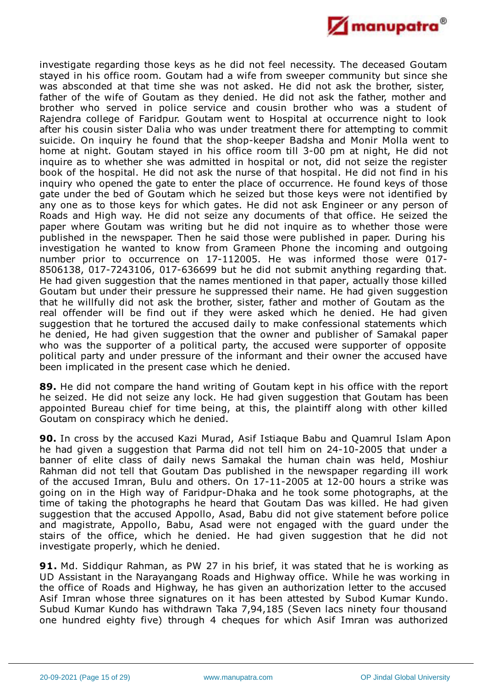

investigate regarding those keys as he did not feel necessity. The deceased Goutam stayed in his office room. Goutam had a wife from sweeper community but since she was absconded at that time she was not asked. He did not ask the brother, sister, father of the wife of Goutam as they denied. He did not ask the father, mother and brother who served in police service and cousin brother who was a student of Rajendra college of Faridpur. Goutam went to Hospital at occurrence night to look after his cousin sister Dalia who was under treatment there for attempting to commit suicide. On inquiry he found that the shop-keeper Badsha and Monir Molla went to home at night. Goutam stayed in his office room till 3-00 pm at night, He did not inquire as to whether she was admitted in hospital or not, did not seize the register book of the hospital. He did not ask the nurse of that hospital. He did not find in his inquiry who opened the gate to enter the place of occurrence. He found keys of those gate under the bed of Goutam which he seized but those keys were not identified by any one as to those keys for which gates. He did not ask Engineer or any person of Roads and High way. He did not seize any documents of that office. He seized the paper where Goutam was writing but he did not inquire as to whether those were published in the newspaper. Then he said those were published in paper. During his investigation he wanted to know from Grameen Phone the incoming and outgoing number prior to occurrence on 17-112005. He was informed those were 017- 8506138, 017-7243106, 017-636699 but he did not submit anything regarding that. He had given suggestion that the names mentioned in that paper, actually those killed Goutam but under their pressure he suppressed their name. He had given suggestion that he willfully did not ask the brother, sister, father and mother of Goutam as the real offender will be find out if they were asked which he denied. He had given suggestion that he tortured the accused daily to make confessional statements which he denied, He had given suggestion that the owner and publisher of Samakal paper who was the supporter of a political party, the accused were supporter of opposite political party and under pressure of the informant and their owner the accused have been implicated in the present case which he denied.

**89.** He did not compare the hand writing of Goutam kept in his office with the report he seized. He did not seize any lock. He had given suggestion that Goutam has been appointed Bureau chief for time being, at this, the plaintiff along with other killed Goutam on conspiracy which he denied.

**90.** In cross by the accused Kazi Murad, Asif Istiaque Babu and Quamrul Islam Apon he had given a suggestion that Parma did not tell him on 24-10-2005 that under a banner of elite class of daily news Samakal the human chain was held, Moshiur Rahman did not tell that Goutam Das published in the newspaper regarding ill work of the accused Imran, Bulu and others. On 17-11-2005 at 12-00 hours a strike was going on in the High way of Faridpur-Dhaka and he took some photographs, at the time of taking the photographs he heard that Goutam Das was killed. He had given suggestion that the accused Appollo, Asad, Babu did not give statement before police and magistrate, Appollo, Babu, Asad were not engaged with the guard under the stairs of the office, which he denied. He had given suggestion that he did not investigate properly, which he denied.

**91.** Md. Siddiqur Rahman, as PW 27 in his brief, it was stated that he is working as UD Assistant in the Narayangang Roads and Highway office. While he was working in the office of Roads and Highway, he has given an authorization letter to the accused Asif Imran whose three signatures on it has been attested by Subod Kumar Kundo. Subud Kumar Kundo has withdrawn Taka 7,94,185 (Seven lacs ninety four thousand one hundred eighty five) through 4 cheques for which Asif Imran was authorized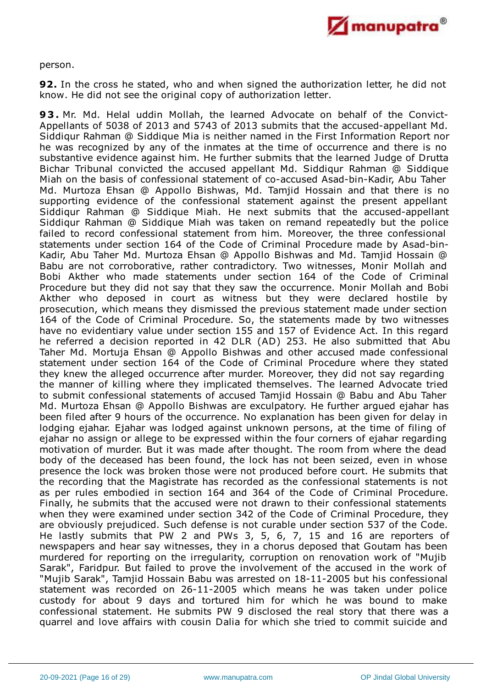

person.

**92.** In the cross he stated, who and when signed the authorization letter, he did not know. He did not see the original copy of authorization letter.

**93.** Mr. Md. Helal uddin Mollah, the learned Advocate on behalf of the Convict-Appellants of 5038 of 2013 and 5743 of 2013 submits that the accused-appellant Md. Siddiqur Rahman @ Siddique Mia is neither named in the First Information Report nor he was recognized by any of the inmates at the time of occurrence and there is no substantive evidence against him. He further submits that the learned Judge of Drutta Bichar Tribunal convicted the accused appellant Md. Siddiqur Rahman @ Siddique Miah on the basis of confessional statement of co-accused Asad-bin-Kadir, Abu Taher Md. Murtoza Ehsan @ Appollo Bishwas, Md. Tamjid Hossain and that there is no supporting evidence of the confessional statement against the present appellant Siddiqur Rahman @ Siddique Miah. He next submits that the accused-appellant Siddiqur Rahman @ Siddique Miah was taken on remand repeatedly but the police failed to record confessional statement from him. Moreover, the three confessional statements under section 164 of the Code of Criminal Procedure made by Asad-bin-Kadir, Abu Taher Md. Murtoza Ehsan @ Appollo Bishwas and Md. Tamjid Hossain @ Babu are not corroborative, rather contradictory. Two witnesses, Monir Mollah and Bobi Akther who made statements under section 164 of the Code of Criminal Procedure but they did not say that they saw the occurrence. Monir Mollah and Bobi Akther who deposed in court as witness but they were declared hostile by prosecution, which means they dismissed the previous statement made under section 164 of the Code of Criminal Procedure. So, the statements made by two witnesses have no evidentiary value under section 155 and 157 of Evidence Act. In this regard he referred a decision reported in 42 DLR (AD) 253. He also submitted that Abu Taher Md. Mortuja Ehsan @ Appollo Bishwas and other accused made confessional statement under section 164 of the Code of Criminal Procedure where they stated they knew the alleged occurrence after murder. Moreover, they did not say regarding the manner of killing where they implicated themselves. The learned Advocate tried to submit confessional statements of accused Tamjid Hossain @ Babu and Abu Taher Md. Murtoza Ehsan @ Appollo Bishwas are exculpatory. He further argued ejahar has been filed after 9 hours of the occurrence. No explanation has been given for delay in lodging ejahar. Ejahar was lodged against unknown persons, at the time of filing of ejahar no assign or allege to be expressed within the four corners of ejahar regarding motivation of murder. But it was made after thought. The room from where the dead body of the deceased has been found, the lock has not been seized, even in whose presence the lock was broken those were not produced before court. He submits that the recording that the Magistrate has recorded as the confessional statements is not as per rules embodied in section 164 and 364 of the Code of Criminal Procedure. Finally, he submits that the accused were not drawn to their confessional statements when they were examined under section 342 of the Code of Criminal Procedure, they are obviously prejudiced. Such defense is not curable under section 537 of the Code. He lastly submits that PW 2 and PWs 3, 5, 6, 7, 15 and 16 are reporters of newspapers and hear say witnesses, they in a chorus deposed that Goutam has been murdered for reporting on the irregularity, corruption on renovation work of "Mujib Sarak", Faridpur. But failed to prove the involvement of the accused in the work of "Mujib Sarak", Tamjid Hossain Babu was arrested on 18-11-2005 but his confessional statement was recorded on 26-11-2005 which means he was taken under police custody for about 9 days and tortured him for which he was bound to make confessional statement. He submits PW 9 disclosed the real story that there was a quarrel and love affairs with cousin Dalia for which she tried to commit suicide and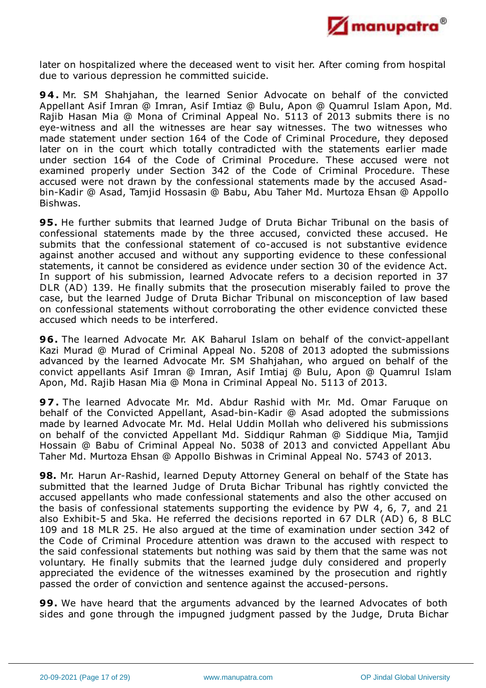

later on hospitalized where the deceased went to visit her. After coming from hospital due to various depression he committed suicide.

**94.** Mr. SM Shahjahan, the learned Senior Advocate on behalf of the convicted Appellant Asif Imran @ Imran, Asif Imtiaz @ Bulu, Apon @ Quamrul Islam Apon, Md. Rajib Hasan Mia @ Mona of Criminal Appeal No. 5113 of 2013 submits there is no eye-witness and all the witnesses are hear say witnesses. The two witnesses who made statement under section 164 of the Code of Criminal Procedure, they deposed later on in the court which totally contradicted with the statements earlier made under section 164 of the Code of Criminal Procedure. These accused were not examined properly under Section 342 of the Code of Criminal Procedure. These accused were not drawn by the confessional statements made by the accused Asadbin-Kadir @ Asad, Tamjid Hossasin @ Babu, Abu Taher Md. Murtoza Ehsan @ Appollo Bishwas.

**95.** He further submits that learned Judge of Druta Bichar Tribunal on the basis of confessional statements made by the three accused, convicted these accused. He submits that the confessional statement of co-accused is not substantive evidence against another accused and without any supporting evidence to these confessional statements, it cannot be considered as evidence under section 30 of the evidence Act. In support of his submission, learned Advocate refers to a decision reported in 37 DLR (AD) 139. He finally submits that the prosecution miserably failed to prove the case, but the learned Judge of Druta Bichar Tribunal on misconception of law based on confessional statements without corroborating the other evidence convicted these accused which needs to be interfered.

**96.** The learned Advocate Mr. AK Baharul Islam on behalf of the convict-appellant Kazi Murad @ Murad of Criminal Appeal No. 5208 of 2013 adopted the submissions advanced by the learned Advocate Mr. SM Shahjahan, who argued on behalf of the convict appellants Asif Imran @ Imran, Asif Imtiaj @ Bulu, Apon @ Quamrul Islam Apon, Md. Rajib Hasan Mia @ Mona in Criminal Appeal No. 5113 of 2013.

**97.** The learned Advocate Mr. Md. Abdur Rashid with Mr. Md. Omar Faruque on behalf of the Convicted Appellant, Asad-bin-Kadir @ Asad adopted the submissions made by learned Advocate Mr. Md. Helal Uddin Mollah who delivered his submissions on behalf of the convicted Appellant Md. Siddiqur Rahman @ Siddique Mia, Tamjid Hossain @ Babu of Criminal Appeal No. 5038 of 2013 and convicted Appellant Abu Taher Md. Murtoza Ehsan @ Appollo Bishwas in Criminal Appeal No. 5743 of 2013.

**98.** Mr. Harun Ar-Rashid, learned Deputy Attorney General on behalf of the State has submitted that the learned Judge of Druta Bichar Tribunal has rightly convicted the accused appellants who made confessional statements and also the other accused on the basis of confessional statements supporting the evidence by PW 4, 6, 7, and 21 also Exhibit-5 and 5ka. He referred the decisions reported in 67 DLR (AD) 6, 8 BLC 109 and 18 MLR 25. He also argued at the time of examination under section 342 of the Code of Criminal Procedure attention was drawn to the accused with respect to the said confessional statements but nothing was said by them that the same was not voluntary. He finally submits that the learned judge duly considered and properly appreciated the evidence of the witnesses examined by the prosecution and rightly passed the order of conviction and sentence against the accused-persons.

**99.** We have heard that the arguments advanced by the learned Advocates of both sides and gone through the impugned judgment passed by the Judge, Druta Bichar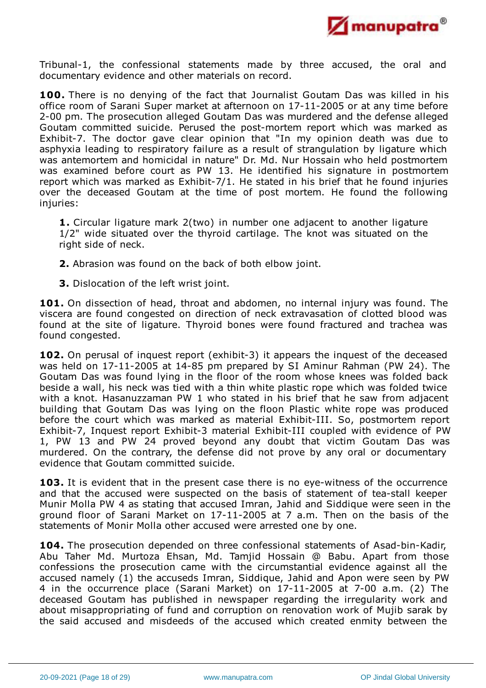

Tribunal-1, the confessional statements made by three accused, the oral and documentary evidence and other materials on record.

**100.** There is no denying of the fact that Journalist Goutam Das was killed in his office room of Sarani Super market at afternoon on 17-11-2005 or at any time before 2-00 pm. The prosecution alleged Goutam Das was murdered and the defense alleged Goutam committed suicide. Perused the post-mortem report which was marked as Exhibit-7. The doctor gave clear opinion that "In my opinion death was due to asphyxia leading to respiratory failure as a result of strangulation by ligature which was antemortem and homicidal in nature" Dr. Md. Nur Hossain who held postmortem was examined before court as PW 13. He identified his signature in postmortem report which was marked as Exhibit-7/1. He stated in his brief that he found injuries over the deceased Goutam at the time of post mortem. He found the following injuries:

**1.** Circular ligature mark 2(two) in number one adjacent to another ligature 1/2" wide situated over the thyroid cartilage. The knot was situated on the right side of neck.

**2.** Abrasion was found on the back of both elbow joint.

**3.** Dislocation of the left wrist joint.

**101.** On dissection of head, throat and abdomen, no internal injury was found. The viscera are found congested on direction of neck extravasation of clotted blood was found at the site of ligature. Thyroid bones were found fractured and trachea was found congested.

**102.** On perusal of inquest report (exhibit-3) it appears the inquest of the deceased was held on 17-11-2005 at 14-85 pm prepared by SI Aminur Rahman (PW 24). The Goutam Das was found lying in the floor of the room whose knees was folded back beside a wall, his neck was tied with a thin white plastic rope which was folded twice with a knot. Hasanuzzaman PW 1 who stated in his brief that he saw from adjacent building that Goutam Das was lying on the floon Plastic white rope was produced before the court which was marked as material Exhibit-III. So, postmortem report Exhibit-7, Inquest report Exhibit-3 material Exhibit-III coupled with evidence of PW 1, PW 13 and PW 24 proved beyond any doubt that victim Goutam Das was murdered. On the contrary, the defense did not prove by any oral or documentary evidence that Goutam committed suicide.

**103.** It is evident that in the present case there is no eye-witness of the occurrence and that the accused were suspected on the basis of statement of tea-stall keeper Munir Molla PW 4 as stating that accused Imran, Jahid and Siddique were seen in the ground floor of Sarani Market on 17-11-2005 at 7 a.m. Then on the basis of the statements of Monir Molla other accused were arrested one by one.

**104.** The prosecution depended on three confessional statements of Asad-bin-Kadir, Abu Taher Md. Murtoza Ehsan, Md. Tamjid Hossain @ Babu. Apart from those confessions the prosecution came with the circumstantial evidence against all the accused namely (1) the accuseds Imran, Siddique, Jahid and Apon were seen by PW 4 in the occurrence place (Sarani Market) on 17-11-2005 at 7-00 a.m. (2) The deceased Goutam has published in newspaper regarding the irregularity work and about misappropriating of fund and corruption on renovation work of Mujib sarak by the said accused and misdeeds of the accused which created enmity between the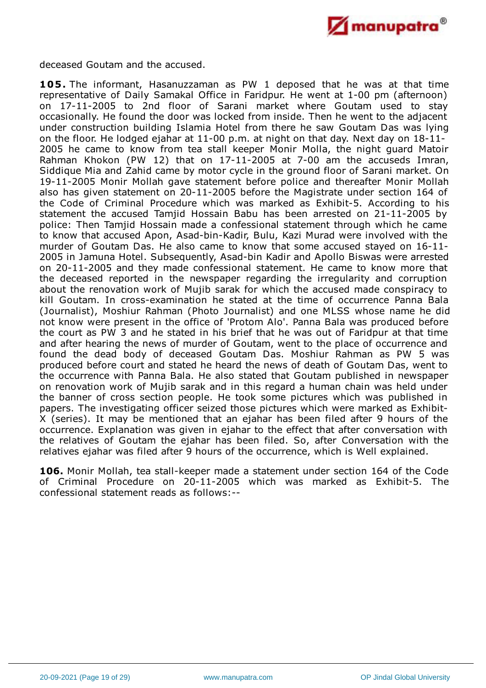

deceased Goutam and the accused.

105. The informant, Hasanuzzaman as PW 1 deposed that he was at that time representative of Daily Samakal Office in Faridpur. He went at 1-00 pm (afternoon) on 17-11-2005 to 2nd floor of Sarani market where Goutam used to stay occasionally. He found the door was locked from inside. Then he went to the adjacent under construction building Islamia Hotel from there he saw Goutam Das was lying on the floor. He lodged ejahar at 11-00 p.m. at night on that day. Next day on 18-11- 2005 he came to know from tea stall keeper Monir Molla, the night guard Matoir Rahman Khokon (PW 12) that on 17-11-2005 at 7-00 am the accuseds Imran, Siddique Mia and Zahid came by motor cycle in the ground floor of Sarani market. On 19-11-2005 Monir Mollah gave statement before police and thereafter Monir Mollah also has given statement on 20-11-2005 before the Magistrate under section 164 of the Code of Criminal Procedure which was marked as Exhibit-5. According to his statement the accused Tamjid Hossain Babu has been arrested on 21-11-2005 by police: Then Tamjid Hossain made a confessional statement through which he came to know that accused Apon, Asad-bin-Kadir, Bulu, Kazi Murad were involved with the murder of Goutam Das. He also came to know that some accused stayed on 16-11- 2005 in Jamuna Hotel. Subsequently, Asad-bin Kadir and Apollo Biswas were arrested on 20-11-2005 and they made confessional statement. He came to know more that the deceased reported in the newspaper regarding the irregularity and corruption about the renovation work of Mujib sarak for which the accused made conspiracy to kill Goutam. In cross-examination he stated at the time of occurrence Panna Bala (Journalist), Moshiur Rahman (Photo Journalist) and one MLSS whose name he did not know were present in the office of 'Protom Alo'. Panna Bala was produced before the court as PW 3 and he stated in his brief that he was out of Faridpur at that time and after hearing the news of murder of Goutam, went to the place of occurrence and found the dead body of deceased Goutam Das. Moshiur Rahman as PW 5 was produced before court and stated he heard the news of death of Goutam Das, went to the occurrence with Panna Bala. He also stated that Goutam published in newspaper on renovation work of Mujib sarak and in this regard a human chain was held under the banner of cross section people. He took some pictures which was published in papers. The investigating officer seized those pictures which were marked as Exhibit-X (series). It may be mentioned that an ejahar has been filed after 9 hours of the occurrence. Explanation was given in ejahar to the effect that after conversation with the relatives of Goutam the ejahar has been filed. So, after Conversation with the relatives ejahar was filed after 9 hours of the occurrence, which is Well explained.

**106.** Monir Mollah, tea stall-keeper made a statement under section 164 of the Code of Criminal Procedure on 20-11-2005 which was marked as Exhibit-5. The confessional statement reads as follows:--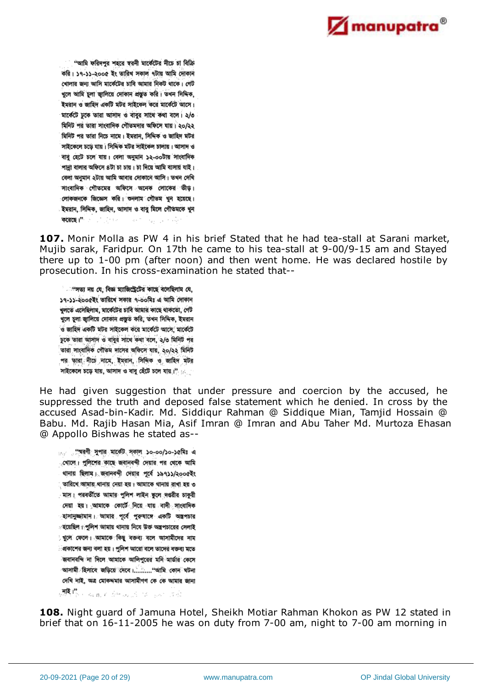

"আমি ফরিদপুর শহরে স্বরনী মার্কেটের নীচে চা বিক্রি করি। ১৭-১১-২০০৫ ইং তারিখ সকাল ৭টায় আমি দোকান খোলার জন্য আসি মার্কেটের চাবি আমার নিকট থাকে। গেট খুলে আমি চুলা জ্বালিয়ে দোকান প্ৰস্তুত করি। তখন সিদ্দিক, ইমরান ও জাহিদ একটি মটর সাইকেল করে মার্কেটে আসে। মার্কেটে ঢুকে তারা আসাদ ও বাবুর সাথে কথা বলে। ২/৩ মিনিট পর তারা সাংবাদিক গৌতমদার অফিসে যায়। ২০/২২ মিনিট পর তারা নিচে নামে। ইমরান, সিদিক ও জাহিদ মটর সাইকেলে চড়ে যায়। সিদ্দিক মটর সাইকেল চালায়। আসাদ ও বাবু হেটে চলে যায়। বেলা অনুমান ১২-০০টায় সাংবাদিক পান্না বালার অফিসে ৪টা চা চায়। চা দিয়ে আমি বাসায় যাই। বেলা অনুমান ২টায় আমি আবার দোকানে আসি। তখন দেখি সাংবাদিক গৌতমের অফিসে অনেক লোকের ভীড়। লোকজনকে জিজ্ঞেস করি। ওনলাম গৌতম খুন হয়েছে। ইমরান, সিদ্দিক, জাহিদ, আসাদ ও বাবু মিলে গৌতমকে খুন করেছে।" সা فلأنبط والتهاد فالمعاد

**107.** Monir Molla as PW 4 in his brief Stated that he had tea-stall at Sarani market, Mujib sarak, Faridpur. On 17th he came to his tea-stall at 9-00/9-15 am and Stayed there up to 1-00 pm (after noon) and then went home. He was declared hostile by prosecution. In his cross-examination he stated that--

া "সভ্য নয় যে, বিজ্ঞ ম্যাজিস্ট্রেটের কাছে বলেছিলাম যে, ১৭-১১-২০০৫ইং তারিখে সকার ৭-০০মিঃ এ আমি দোকান খলতে এসেছিলাম, মাৰ্কেটের চাবি আমার কাছে থাকতো, গেট খলে চলা জালিয়ে দোকান প্রস্তুত করি, তখন সিদ্দিক, ইমরান ও জাহিদ একটি মটর সাইকেল করে মার্কেটে আসে, মার্কেটে ঢুকে তারা আসাদ ও বাবুর সাথে কথা বলে, ২/৩ মিনিট পর তারা সাংবাদিক গৌতম দাসের অফিসে যায়, ২০/২২ মিনিট পর তারা নীতে নামে, ইম্রান, সিদ্দিক ও জাহিদ মটর সাইকেলে চড়ে যায়, আসাদ ও বাবু হেঁটে চলে যায়,।"

He had given suggestion that under pressure and coercion by the accused, he suppressed the truth and deposed false statement which he denied. In cross by the accused Asad-bin-Kadir. Md. Siddiqur Rahman @ Siddique Mian, Tamjid Hossain @ Babu. Md. Rajib Hasan Mia, Asif Imran @ Imran and Abu Taher Md. Murtoza Ehasan @ Appollo Bishwas he stated as--

্য স্পেরণী সুপার মার্কেট সকাল ১০-০০/১০-১৫মিঃ এ ্থোলে। পুলিশের কাছে জবানবন্দী দেয়ার পর থেকে আমি থানায় ছিলাম। জবানবন্দী দেয়ার পূর্বে ১৯৭১১/২০০৫ইং ় তারিখে আমায় থানায় নেয়া হয়। আমাকে থানায় রাখা হয় ৩ ়মাস। পরবর্তীতে আমার পুলিশ লাইন স্কুলে দণ্ডরীর চাকুরী দেয়া হয়। আমাকে কোর্টে নিয়ে যায় বাদী সাংবাদিক ্হাসানুজ্জামান। আমার পূর্বে পুরুষাঙ্গে একটি অস্ত্রপচার ংয়েছিল। পুলিশ আমায় থানায় নিযে উক্ত অন্ত্রপচারের সেলাই ুখুলে ফেলে। আমাকে কিছু বক্তব্য বলে আসামীদের নাম িপ্রকাশের জন্য বলা হয়। পুলিশ আরো বলে তাদের বক্তব্য মতে জবানবন্দি না দিলে আমাকে আলিপুরের মনি মার্ডার কেসে আসামী হিসাবে জড়িয়ে দেবে।...........''আমি কোন ঘটনা দেখি নাই, অত্র মোকদমার আসামীগণ কে কে আমার জানা **测图**整个 海豚 在海外海上的 120 gash 道德。

**108.** Night guard of Jamuna Hotel, Sheikh Motiar Rahman Khokon as PW 12 stated in brief that on 16-11-2005 he was on duty from 7-00 am, night to 7-00 am morning in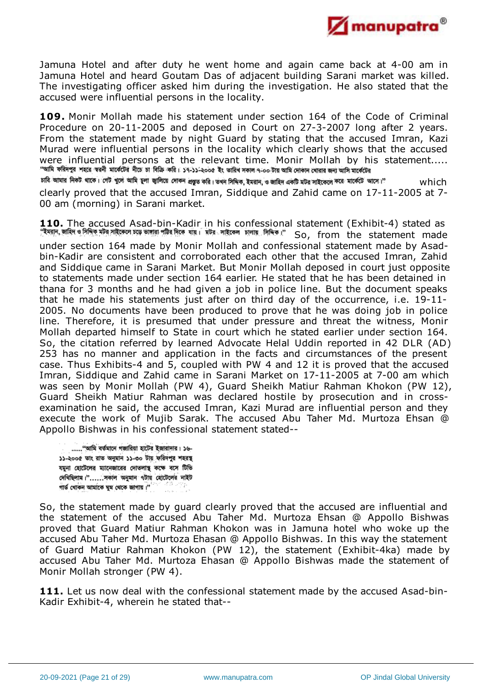

Jamuna Hotel and after duty he went home and again came back at 4-00 am in Jamuna Hotel and heard Goutam Das of adjacent building Sarani market was killed. The investigating officer asked him during the investigation. He also stated that the accused were influential persons in the locality.

**109.** Monir Mollah made his statement under section 164 of the Code of Criminal Procedure on 20-11-2005 and deposed in Court on 27-3-2007 long after 2 years. From the statement made by night Guard by stating that the accused Imran, Kazi Murad were influential persons in the locality which clearly shows that the accused were influential persons at the relevant time. Monir Mollah by his statement.....<br>"আমি ফরিদপুর শহরে স্বরনী মার্কেটের নীচে চা বিক্রি করি। ১৭-১১-২০১৫ ইং ভারিখ সকাদ ৭-০০ টার আমি লকান থোরা আসি মার্কেটের চাবি আমার নিকট থাকে। গেট খুলে আমি চুলা জ্বালিয়ে দোকন প্রস্তুত করি। তথন সিদিক, ইমরান, ও জাহিদ একটি মটর সাইকেলে করে মার্কেটে আসে।" which

clearly proved that the accused Imran, Siddique and Zahid came on 17-11-2005 at 7- 00 am (morning) in Sarani market.

**110.** The accused Asad-bin-Kadir in his confessional statement (Exhibit-4) stated as TIV THE ACCASE AND STATEMENT OF THE STATE MEAN POINT OF THE STATEMENT SO, from the statement made under section 164 made by Monir Mollah and confessional statement made by Asadbin-Kadir are consistent and corroborated each other that the accused Imran, Zahid and Siddique came in Sarani Market. But Monir Mollah deposed in court just opposite to statements made under section 164 earlier. He stated that he has been detained in thana for 3 months and he had given a job in police line. But the document speaks that he made his statements just after on third day of the occurrence, i.e. 19-11- 2005. No documents have been produced to prove that he was doing job in police line. Therefore, it is presumed that under pressure and threat the witness, Monir Mollah departed himself to State in court which he stated earlier under section 164. So, the citation referred by learned Advocate Helal Uddin reported in 42 DLR (AD) 253 has no manner and application in the facts and circumstances of the present case. Thus Exhibits-4 and 5, coupled with PW 4 and 12 it is proved that the accused Imran, Siddique and Zahid came in Sarani Market on 17-11-2005 at 7-00 am which was seen by Monir Mollah (PW 4), Guard Sheikh Matiur Rahman Khokon (PW 12), Guard Sheikh Matiur Rahman was declared hostile by prosecution and in crossexamination he said, the accused Imran, Kazi Murad are influential person and they execute the work of Mujib Sarak. The accused Abu Taher Md. Murtoza Ehsan @ Appollo Bishwas in his confessional statement stated--

...... "আমি বর্তমানে গজারিয়া হাটের ইজারাদার। ১৬-১১-২০০৫ তাং রাত অনুমান ১১-৩০ টায় ফরিদপুর শহরস্থ যমুনা হোটেলের ম্যানেজারের দোতলাস্থ কক্ষে বসে টিভি দেখিছিলাম।"......সকাল অনুমান ৭টায় হোটেলের নাইট গার্ড খোকন আমাকে ঘুম থেকে জাগায়।"

So, the statement made by guard clearly proved that the accused are influential and the statement of the accused Abu Taher Md. Murtoza Ehsan @ Appollo Bishwas proved that Guard Matiur Rahman Khokon was in Jamuna hotel who woke up the accused Abu Taher Md. Murtoza Ehasan @ Appollo Bishwas. In this way the statement of Guard Matiur Rahman Khokon (PW 12), the statement (Exhibit-4ka) made by accused Abu Taher Md. Murtoza Ehasan @ Appollo Bishwas made the statement of Monir Mollah stronger (PW 4).

**111.** Let us now deal with the confessional statement made by the accused Asad-bin-Kadir Exhibit-4, wherein he stated that--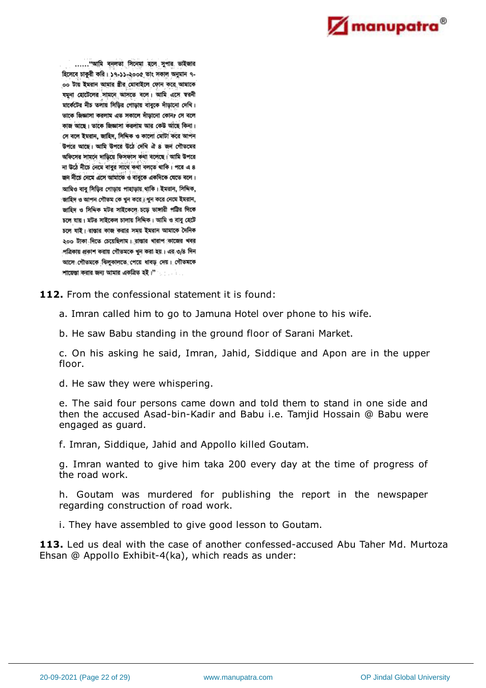

...... "आমি বনলতা সিনেমা হলে সুপার ভাইজার হিসেবে চাকুরী করি। ১৭-১১-২০০৫ তাং সকাল অনুমান ৭-০০ টায় ইমরান আমার স্তীর মোবাইলে ফোন করে আমাকে যমুনা হোটেলের সামনে আসতে বলে। আমি এসে স্বরনী মার্কেটের নীচ তলায় সিড়ির গোড়ায় বাবুকে দাঁড়ানো দেখি। তাকে জিজ্ঞাসা করলাম এত সকালে দাঁড়ানো কোন? সে বলে কাজ আছে। তাকে জিজ্ঞাসা করলাম আর কেউ আছে কিনা। সে বলে ইমরান, জাহিদ, সিদ্দিক ও কালো মোটা করে আপন 'উপরে আছে। আমি উপরে উঠে দেখি ঐ ৪ জন গৌতমের অফিসের সামনে দাড়িয়ে ফিসফাস কথা বলেছে। আমি উপরে না উঠে নীচে নেমে বাবুর সাথে কথা বলতে থাকি। পরে এ ৪ জন নীচে নেমে এসে আমাকে ও বাবুকে একদিকে যেতে বলে। আমিও বাবু সিড়ির গোড়ায় পাহাড়ায় থাকি। ইমরান, সিদ্দিক, জাহিদ ও আপন গৌতম কে খুন করে ্বখুন করে নেমে ইমরান, জাহিদ ও সিদ্দিক মটর সাইকেলে চড়ে ভাঙ্গারী পট্টির দিকে চলে যায়। মটর সাইকেল চালায় সিদ্দিক। আমি ও বাবু হেটে চলে যাই। রাস্তার কাজ করার সময় ইমরান আমাকে দৈনিক ২০০ টাকা দিতে চেয়েছিলাম। রাস্তার খারাপ কাজের খবর পত্রিকায় প্রকাশ করায় গৌতমকে খুন করা হয়। এর ৩/৪ দিন আসে গৌতমকে ঝিলুকালতে পেয়ে ধাবড় দেয়। গৌতমকে শায়েস্তা করার জন্য আমার একত্রিত হই।"

**112.** From the confessional statement it is found:

a. Imran called him to go to Jamuna Hotel over phone to his wife.

b. He saw Babu standing in the ground floor of Sarani Market.

c. On his asking he said, Imran, Jahid, Siddique and Apon are in the upper floor.

d. He saw they were whispering.

e. The said four persons came down and told them to stand in one side and then the accused Asad-bin-Kadir and Babu i.e. Tamjid Hossain @ Babu were engaged as guard.

f. Imran, Siddique, Jahid and Appollo killed Goutam.

g. Imran wanted to give him taka 200 every day at the time of progress of the road work.

h. Goutam was murdered for publishing the report in the newspaper regarding construction of road work.

i. They have assembled to give good lesson to Goutam.

**113.** Led us deal with the case of another confessed-accused Abu Taher Md. Murtoza Ehsan @ Appollo Exhibit-4(ka), which reads as under: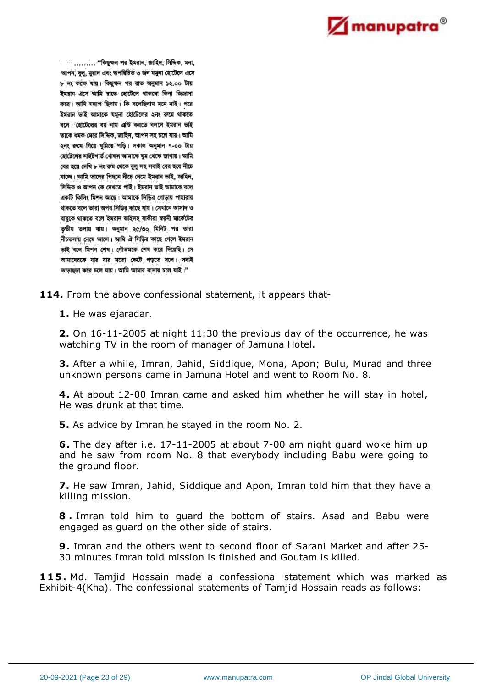

আপন, বুলু, মুরাদ এবং অপরিচিত ৩ জন যমুনা হোটেলে এসে ৮ নং কক্ষে যায়। কিছুক্ষন পর রাত অনুমান ১২.০০ টায় ইমরান এসে আমি রাতে হোটেলে থাকবো কিনা জিজাসা করে। আমি মদ্যপ ছিলাম। কি বলেছিলাম মনে নাই। পরে ইমরান ভাই আমাকে যমুনা হোটেলের ২নং রুমে থাকতে ৰলে। হোটেলের বয় নাম এন্টি করতে বললে ইমরান ভাই তাকে ধমক মেরে সিদ্দিক, জাহিদ, আপন সহ চলে যায়। আমি হনং রুমে গিয়ে ঘুমিয়ে পড়ি। সকাল অনুমান ৭-০০ টায় হোটেলের নাইটগার্ভ খোকন আমাকে ঘুম থেকে জাগায়। আমি বের হয়ে দেখি ৮ নং রুম থেকে বুলু সহ সবাই বের হয়ে নীচে যাচ্ছে। আমি তাদের পিছনে নীচে নেমে ইমরান ভাই, জাহিদ, সিদ্দিক ও আপন কে দেখতে পাই। ইমরান ভাই আমাকে বলে একটি কিলিং মিশন আছে। আমাকে সিডির গোড়ায় পাহারায় থাকতে বলে তারা অপর সিড়ির কাছে যায়। সেখানে আসাদ ও বাবুকে থাকতে বলে ইমরান ভাইসহ বাকীরা স্বরনী মার্কেটের তৃতীয় তলায় যায়। অনুমান ২৫/৩০ মিনিট পর তারা নীচতলায় নেমে আসে। আমি ঐ সিড়ির কাছে গেলে ইমরান ভাই বলে মিশন শেষ। গৌতমকে শেষ করে দিয়েছি। সে আমাদেরকে যার যার মতো কেটে পড়তে বলে। সবাই তাড়াহড়া করে চলে যায়। আমি আমার বাসায় চলে যাই।"

114. From the above confessional statement, it appears that-

**1.** He was ejaradar.

**2.** On 16-11-2005 at night 11:30 the previous day of the occurrence, he was watching TV in the room of manager of Jamuna Hotel.

**3.** After a while, Imran, Jahid, Siddique, Mona, Apon; Bulu, Murad and three unknown persons came in Jamuna Hotel and went to Room No. 8.

**4.** At about 12-00 Imran came and asked him whether he will stay in hotel, He was drunk at that time.

**5.** As advice by Imran he stayed in the room No. 2.

**6.** The day after i.e. 17-11-2005 at about 7-00 am night guard woke him up and he saw from room No. 8 that everybody including Babu were going to the ground floor.

**7.** He saw Imran, Jahid, Siddique and Apon, Imran told him that they have a killing mission.

**8 .** Imran told him to guard the bottom of stairs. Asad and Babu were engaged as guard on the other side of stairs.

**9.** Imran and the others went to second floor of Sarani Market and after 25- 30 minutes Imran told mission is finished and Goutam is killed.

**115.** Md. Tamjid Hossain made a confessional statement which was marked as Exhibit-4(Kha). The confessional statements of Tamjid Hossain reads as follows: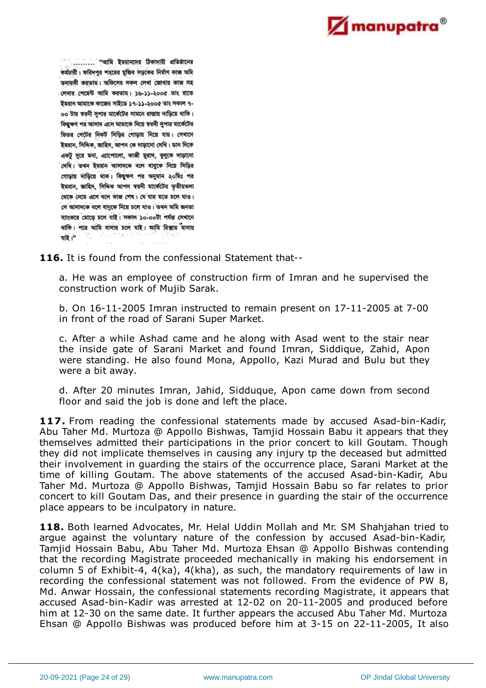

......... "আমি ইমরানদের ঠিকাদারী প্রতিষ্ঠানের কর্মচারী। ফরিদপুর শহরের মুজিব সড়কের নির্মাণ কাজ অমি তদারকী করতাম। অফিসের সকল লেখা জোখার কাজ সহ লেবার পেমেন্ট আমি করতাম। ১৬-১১-২০০৫ তাং রাতে ইমরান আমাকে কাজের সাইডে ১৭-১১-২০০৫ তাং সকাল ৭-০০ টায় স্বরনী সুপার মার্কেটের সামনে রাস্তায় দাড়িয়ে থাকি। কিছক্ষণ পর আসাদ এসে আমাকে নিয়ে স্বরনী সপার মার্কেটের ভিতর গেটের নিকট সিড়ির গোড়ায় নিয়ে যায়। সেখানে ইমরান, সিদ্দিক, জাহিদ, আপন কে দাড়ানো দেখি। ডান দিকে একটু দূরে মনা, এ্যাপোলো, কাজী মুরাদ, বুলুকে দাড়ানো 'দেখি। তখন ইমরান আসাদকে বলে বাবুকে নিয়ে সিড়ির গোড়ায় দাড়িয়ে থাক। কিছুক্ষণ পর অনুমান ২০মিঃ পর ইমরান, জাহিদ, সিদিক আপন স্বরনী মার্কেটের তৃতীয়তলা থেকে নেমে এসে বলে কাজ শেষ। যে যার মতে চলে যাও। সে আসাদকে বলে বাবকে নিয়ে চলে যাও। তথন অমি জনতা ব্যাংকরে মোড়ে চলে যাই। সকাল ১০-০০টা পর্যন্ত সেখানে থাকি। পরে আমি বাসায় চলে যাই। আমি রিক্সায় বাসায় যাই।"

**116.** It is found from the confessional Statement that--

a. He was an employee of construction firm of Imran and he supervised the construction work of Mujib Sarak.

b. On 16-11-2005 Imran instructed to remain present on 17-11-2005 at 7-00 in front of the road of Sarani Super Market.

c. After a while Ashad came and he along with Asad went to the stair near the inside gate of Sarani Market and found Imran, Siddique, Zahid, Apon were standing. He also found Mona, Appollo, Kazi Murad and Bulu but they were a bit away.

d. After 20 minutes Imran, Jahid, Sidduque, Apon came down from second floor and said the job is done and left the place.

**117.** From reading the confessional statements made by accused Asad-bin-Kadir, Abu Taher Md. Murtoza @ Appollo Bishwas, Tamjid Hossain Babu it appears that they themselves admitted their participations in the prior concert to kill Goutam. Though they did not implicate themselves in causing any injury tp the deceased but admitted their involvement in guarding the stairs of the occurrence place, Sarani Market at the time of killing Goutam. The above statements of the accused Asad-bin-Kadir, Abu Taher Md. Murtoza @ Appollo Bishwas, Tamjid Hossain Babu so far relates to prior concert to kill Goutam Das, and their presence in guarding the stair of the occurrence place appears to be inculpatory in nature.

**118.** Both learned Advocates, Mr. Helal Uddin Mollah and Mr. SM Shahjahan tried to argue against the voluntary nature of the confession by accused Asad-bin-Kadir, Tamjid Hossain Babu, Abu Taher Md. Murtoza Ehsan @ Appollo Bishwas contending that the recording Magistrate proceeded mechanically in making his endorsement in column 5 of Exhibit-4, 4(ka), 4(kha), as such, the mandatory requirements of law in recording the confessional statement was not followed. From the evidence of PW 8, Md. Anwar Hossain, the confessional statements recording Magistrate, it appears that accused Asad-bin-Kadir was arrested at 12-02 on 20-11-2005 and produced before him at 12-30 on the same date. It further appears the accused Abu Taher Md. Murtoza Ehsan @ Appollo Bishwas was produced before him at 3-15 on 22-11-2005, It also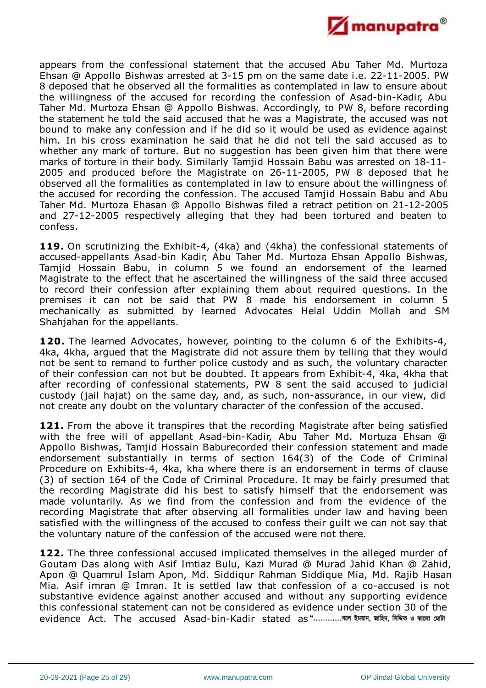

appears from the confessional statement that the accused Abu Taher Md. Murtoza Ehsan @ Appollo Bishwas arrested at 3-15 pm on the same date i.e. 22-11-2005. PW 8 deposed that he observed all the formalities as contemplated in law to ensure about the willingness of the accused for recording the confession of Asad-bin-Kadir, Abu Taher Md. Murtoza Ehsan @ Appollo Bishwas. Accordingly, to PW 8, before recording the statement he told the said accused that he was a Magistrate, the accused was not bound to make any confession and if he did so it would be used as evidence against him. In his cross examination he said that he did not tell the said accused as to whether any mark of torture. But no suggestion has been given him that there were marks of torture in their body. Similarly Tamjid Hossain Babu was arrested on 18-11- 2005 and produced before the Magistrate on 26-11-2005, PW 8 deposed that he observed all the formalities as contemplated in law to ensure about the willingness of the accused for recording the confession. The accused Tamjid Hossain Babu and Abu Taher Md. Murtoza Ehasan @ Appollo Bishwas filed a retract petition on 21-12-2005 and 27-12-2005 respectively alleging that they had been tortured and beaten to confess.

**119.** On scrutinizing the Exhibit-4, (4ka) and (4kha) the confessional statements of accused-appellants Asad-bin Kadir, Abu Taher Md. Murtoza Ehsan Appollo Bishwas, Tamjid Hossain Babu, in column 5 we found an endorsement of the learned Magistrate to the effect that he ascertained the willingness of the said three accused to record their confession after explaining them about required questions. In the premises it can not be said that PW 8 made his endorsement in column 5 mechanically as submitted by learned Advocates Helal Uddin Mollah and SM Shahjahan for the appellants.

**120.** The learned Advocates, however, pointing to the column 6 of the Exhibits-4, 4ka, 4kha, argued that the Magistrate did not assure them by telling that they would not be sent to remand to further police custody and as such, the voluntary character of their confession can not but be doubted. It appears from Exhibit-4, 4ka, 4kha that after recording of confessional statements, PW 8 sent the said accused to judicial custody (jail hajat) on the same day, and, as such, non-assurance, in our view, did not create any doubt on the voluntary character of the confession of the accused.

121. From the above it transpires that the recording Magistrate after being satisfied with the free will of appellant Asad-bin-Kadir, Abu Taher Md. Mortuza Ehsan @ Appollo Bishwas, Tamjid Hossain Baburecorded their confession statement and made endorsement substantially in terms of section 164(3) of the Code of Criminal Procedure on Exhibits-4, 4ka, kha where there is an endorsement in terms of clause (3) of section 164 of the Code of Criminal Procedure. It may be fairly presumed that the recording Magistrate did his best to satisfy himself that the endorsement was made voluntarily. As we find from the confession and from the evidence of the recording Magistrate that after observing all formalities under law and having been satisfied with the willingness of the accused to confess their guilt we can not say that the voluntary nature of the confession of the accused were not there.

**122.** The three confessional accused implicated themselves in the alleged murder of Goutam Das along with Asif Imtiaz Bulu, Kazi Murad @ Murad Jahid Khan @ Zahid, Apon @ Quamrul Islam Apon, Md. Siddiqur Rahman Siddique Mia, Md. Rajib Hasan Mia. Asif imran @ Imran. It is settled law that confession of a co-accused is not substantive evidence against another accused and without any supporting evidence this confessional statement can not be considered as evidence under section 30 of the evidence Act. The accused Asad-bin-Kadir stated as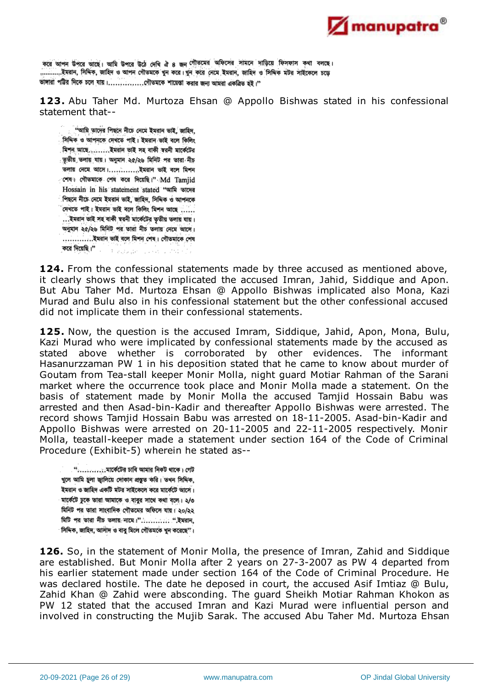

করে আপন উপরে আছে। আমি উপরে উঠে দেখি ঐ ৪ জন গৌতমের অফিসের সামনে দাড়িয়ে ফিসফাস কথা বলছে। ..............ইমরান, সিদ্দিক, জাহিদ ও আপন গৌতমকে খুন করে। খুন করে নেমে ইমরান, জাহিদ ও সিদ্দিক মটর সাইকেলে চডে ভাঙ্গারা পট্টির দিকে চলে যায়।..............গৌতমকে শায়েস্তা করার জন্য আমরা একত্রিত হই।"

**123.** Abu Taher Md. Murtoza Ehsan @ Appollo Bishwas stated in his confessional statement that--

"আমি তাদের পিছনে নীচে নেমে ইমরান ভাই, জাহিদ, সিদ্দিক ও আপনকে দেখতে পাই। ইমরান ভাই বলে কিলিং মিশন আছে.........ইমরান ভাই সহ বাকী স্বরনী মার্কেটের ্তৃতীয় তলায় যায়। অনুমান ২৫/২৬ মিনিট পর তারা নীচ তলায় নেমে আসে।.............ইমরান ভাই বলে মিশন াশৰ। গৌতমাকে শেষ করে দিয়েছি।" Md Tamiid Hossain in his statement stated "sin with পিছনে নীচে নেমে ইমরান ভাই, জাহিদ, সিদ্দিক ও আপনকে ' দেখতে পাই। ইমরান ভাই বলে কিলিং মিশন আছে ...... ... ইমরান ভাই সহ বাকী স্বরনী মার্কেটের তৃতীয় তলায় যায়। অনুমান ২৫/২৬ মিনিট পর তারা নীচ তলায় নেমে আসে। .................ইমরান ভাই বলে মিশন শেষ। গৌতমাকে শেষ 

**124.** From the confessional statements made by three accused as mentioned above, it clearly shows that they implicated the accused Imran, Jahid, Siddique and Apon. But Abu Taher Md. Murtoza Ehsan @ Appollo Bishwas implicated also Mona, Kazi Murad and Bulu also in his confessional statement but the other confessional accused did not implicate them in their confessional statements.

**125.** Now, the question is the accused Imram, Siddique, Jahid, Apon, Mona, Bulu, Kazi Murad who were implicated by confessional statements made by the accused as stated above whether is corroborated by other evidences. The informant Hasanurzzaman PW 1 in his deposition stated that he came to know about murder of Goutam from Tea-stall keeper Monir Molla, night guard Motiar Rahman of the Sarani market where the occurrence took place and Monir Molla made a statement. On the basis of statement made by Monir Molla the accused Tamjid Hossain Babu was arrested and then Asad-bin-Kadir and thereafter Appollo Bishwas were arrested. The record shows Tamjid Hossain Babu was arrested on 18-11-2005. Asad-bin-Kadir and Appollo Bishwas were arrested on 20-11-2005 and 22-11-2005 respectively. Monir Molla, teastall-keeper made a statement under section 164 of the Code of Criminal Procedure (Exhibit-5) wherein he stated as--

খলে আমি চলা জালিয়ে দোকান প্ৰস্তত করি। তখন সিদিক, ইমরান ও জাহিদ একটি মটর সাইকেলে করে মার্কেটে আসে। মার্কেটে ঢুকে তারা আমাকে ও বাবুর সাথে কথা বলে। ২/৩ মিনিট পর তারা সাংবাদিক গৌতমের অফিসে যায়। ২০/২২ মিটি পর তারা নীচ তলায় নামে।"........... ".ইমরান, সিদ্দিক, জাহিদ, আসাদ ও বাবু মিলে গৌতমকে খুন করেছে''।

**126.** So, in the statement of Monir Molla, the presence of Imran, Zahid and Siddique are established. But Monir Molla after 2 years on 27-3-2007 as PW 4 departed from his earlier statement made under section 164 of the Code of Criminal Procedure. He was declared hostile. The date he deposed in court, the accused Asif Imtiaz @ Bulu, Zahid Khan @ Zahid were absconding. The guard Sheikh Motiar Rahman Khokon as PW 12 stated that the accused Imran and Kazi Murad were influential person and involved in constructing the Mujib Sarak. The accused Abu Taher Md. Murtoza Ehsan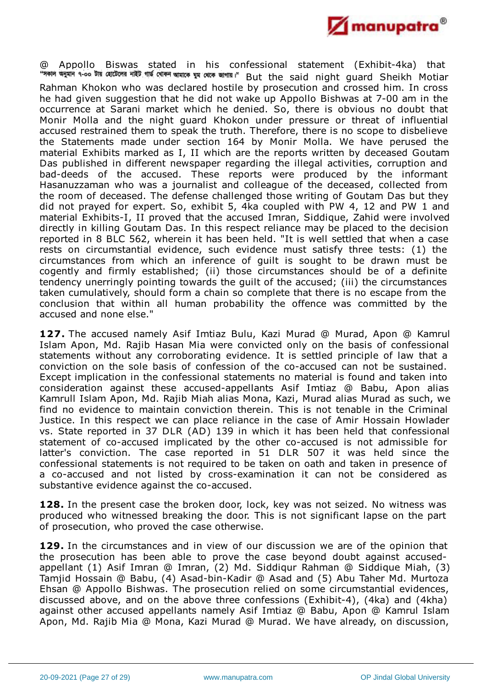

@ Appollo Biswas stated in his confessional statement (Exhibit-4ka) that "সকাল অনুমান ৭-০০ টায় হোটেলের নাইট গার্ভ খোকন আমাকে ঘুম থেকে জাগায়।" But the said night guard Sheikh Motiar Rahman Khokon who was declared hostile by prosecution and crossed him. In cross he had given suggestion that he did not wake up Appollo Bishwas at 7-00 am in the occurrence at Sarani market which he denied. So, there is obvious no doubt that Monir Molla and the night guard Khokon under pressure or threat of influential accused restrained them to speak the truth. Therefore, there is no scope to disbelieve the Statements made under section 164 by Monir Molla. We have perused the material Exhibits marked as I, II which are the reports written by deceased Goutam Das published in different newspaper regarding the illegal activities, corruption and bad-deeds of the accused. These reports were produced by the informant Hasanuzzaman who was a journalist and colleague of the deceased, collected from the room of deceased. The defense challenged those writing of Goutam Das but they did not prayed for expert. So, exhibit 5, 4ka coupled with PW 4, 12 and PW 1 and material Exhibits-I, II proved that the accused Imran, Siddique, Zahid were involved directly in killing Goutam Das. In this respect reliance may be placed to the decision reported in 8 BLC 562, wherein it has been held. "It is well settled that when a case rests on circumstantial evidence, such evidence must satisfy three tests: (1) the circumstances from which an inference of guilt is sought to be drawn must be cogently and firmly established; (ii) those circumstances should be of a definite tendency unerringly pointing towards the guilt of the accused; (iii) the circumstances taken cumulatively, should form a chain so complete that there is no escape from the conclusion that within all human probability the offence was committed by the accused and none else."

**127.** The accused namely Asif Imtiaz Bulu, Kazi Murad @ Murad, Apon @ Kamrul Islam Apon, Md. Rajib Hasan Mia were convicted only on the basis of confessional statements without any corroborating evidence. It is settled principle of law that a conviction on the sole basis of confession of the co-accused can not be sustained. Except implication in the confessional statements no material is found and taken into consideration against these accused-appellants Asif Imtiaz @ Babu, Apon alias Kamrull Islam Apon, Md. Rajib Miah alias Mona, Kazi, Murad alias Murad as such, we find no evidence to maintain conviction therein. This is not tenable in the Criminal Justice. In this respect we can place reliance in the case of Amir Hossain Howlader vs. State reported in 37 DLR (AD) 139 in which it has been held that confessional statement of co-accused implicated by the other co-accused is not admissible for latter's conviction. The case reported in 51 DLR 507 it was held since the confessional statements is not required to be taken on oath and taken in presence of a co-accused and not listed by cross-examination it can not be considered as substantive evidence against the co-accused.

**128.** In the present case the broken door, lock, key was not seized. No witness was produced who witnessed breaking the door. This is not significant lapse on the part of prosecution, who proved the case otherwise.

**129.** In the circumstances and in view of our discussion we are of the opinion that the prosecution has been able to prove the case beyond doubt against accusedappellant (1) Asif Imran @ Imran, (2) Md. Siddiqur Rahman @ Siddique Miah, (3) Tamjid Hossain @ Babu, (4) Asad-bin-Kadir @ Asad and (5) Abu Taher Md. Murtoza Ehsan @ Appollo Bishwas. The prosecution relied on some circumstantial evidences, discussed above, and on the above three confessions (Exhibit-4), (4ka) and (4kha) against other accused appellants namely Asif Imtiaz @ Babu, Apon @ Kamrul Islam Apon, Md. Rajib Mia @ Mona, Kazi Murad @ Murad. We have already, on discussion,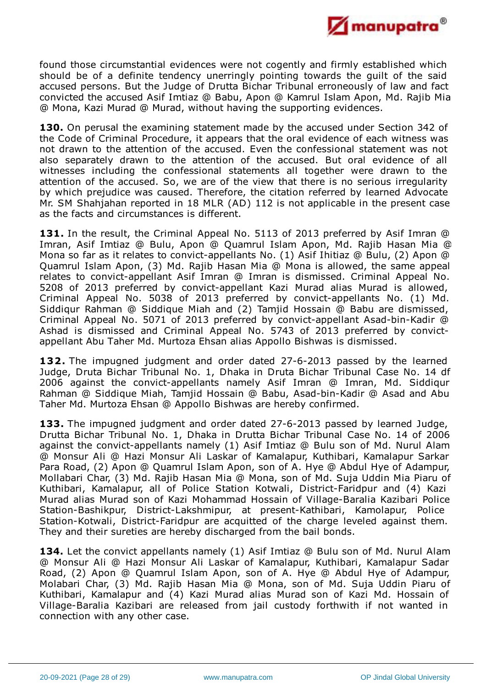

found those circumstantial evidences were not cogently and firmly established which should be of a definite tendency unerringly pointing towards the guilt of the said accused persons. But the Judge of Drutta Bichar Tribunal erroneously of law and fact convicted the accused Asif Imtiaz @ Babu, Apon @ Kamrul Islam Apon, Md. Rajib Mia @ Mona, Kazi Murad @ Murad, without having the supporting evidences.

**130.** On perusal the examining statement made by the accused under Section 342 of the Code of Criminal Procedure, it appears that the oral evidence of each witness was not drawn to the attention of the accused. Even the confessional statement was not also separately drawn to the attention of the accused. But oral evidence of all witnesses including the confessional statements all together were drawn to the attention of the accused. So, we are of the view that there is no serious irregularity by which prejudice was caused. Therefore, the citation referred by learned Advocate Mr. SM Shahjahan reported in 18 MLR (AD) 112 is not applicable in the present case as the facts and circumstances is different.

**131.** In the result, the Criminal Appeal No. 5113 of 2013 preferred by Asif Imran @ Imran, Asif Imtiaz @ Bulu, Apon @ Quamrul Islam Apon, Md. Rajib Hasan Mia @ Mona so far as it relates to convict-appellants No. (1) Asif Ihitiaz @ Bulu, (2) Apon @ Quamrul Islam Apon, (3) Md. Rajib Hasan Mia @ Mona is allowed, the same appeal relates to convict-appellant Asif Imran @ Imran is dismissed. Criminal Appeal No. 5208 of 2013 preferred by convict-appellant Kazi Murad alias Murad is allowed, Criminal Appeal No. 5038 of 2013 preferred by convict-appellants No. (1) Md. Siddiqur Rahman @ Siddique Miah and (2) Tamjid Hossain @ Babu are dismissed, Criminal Appeal No. 5071 of 2013 preferred by convict-appellant Asad-bin-Kadir @ Ashad is dismissed and Criminal Appeal No. 5743 of 2013 preferred by convictappellant Abu Taher Md. Murtoza Ehsan alias Appollo Bishwas is dismissed.

**132.** The impugned judgment and order dated 27-6-2013 passed by the learned Judge, Druta Bichar Tribunal No. 1, Dhaka in Druta Bichar Tribunal Case No. 14 df 2006 against the convict-appellants namely Asif Imran @ Imran, Md. Siddiqur Rahman @ Siddique Miah, Tamjid Hossain @ Babu, Asad-bin-Kadir @ Asad and Abu Taher Md. Murtoza Ehsan @ Appollo Bishwas are hereby confirmed.

**133.** The impugned judgment and order dated 27-6-2013 passed by learned Judge, Drutta Bichar Tribunal No. 1, Dhaka in Drutta Bichar Tribunal Case No. 14 of 2006 against the convict-appellants namely (1) Asif Imtiaz @ Bulu son of Md. Nurul Alam @ Monsur Ali @ Hazi Monsur Ali Laskar of Kamalapur, Kuthibari, Kamalapur Sarkar Para Road, (2) Apon @ Quamrul Islam Apon, son of A. Hye @ Abdul Hye of Adampur, Mollabari Char, (3) Md. Rajib Hasan Mia @ Mona, son of Md. Suja Uddin Mia Piaru of Kuthibari, Kamalapur, all of Police Station Kotwali, District-Faridpur and (4) Kazi Murad alias Murad son of Kazi Mohammad Hossain of Village-Baralia Kazibari Police Station-Bashikpur, District-Lakshmipur, at present-Kathibari, Kamolapur, Police Station-Kotwali, District-Faridpur are acquitted of the charge leveled against them. They and their sureties are hereby discharged from the bail bonds.

**134.** Let the convict appellants namely (1) Asif Imtiaz @ Bulu son of Md. Nurul Alam @ Monsur Ali @ Hazi Monsur Ali Laskar of Kamalapur, Kuthibari, Kamalapur Sadar Road, (2) Apon @ Quamrul Islam Apon, son of A. Hye @ Abdul Hye of Adampur, Molabari Char, (3) Md. Rajib Hasan Mia @ Mona, son of Md. Suja Uddin Piaru of Kuthibari, Kamalapur and (4) Kazi Murad alias Murad son of Kazi Md. Hossain of Village-Baralia Kazibari are released from jail custody forthwith if not wanted in connection with any other case.